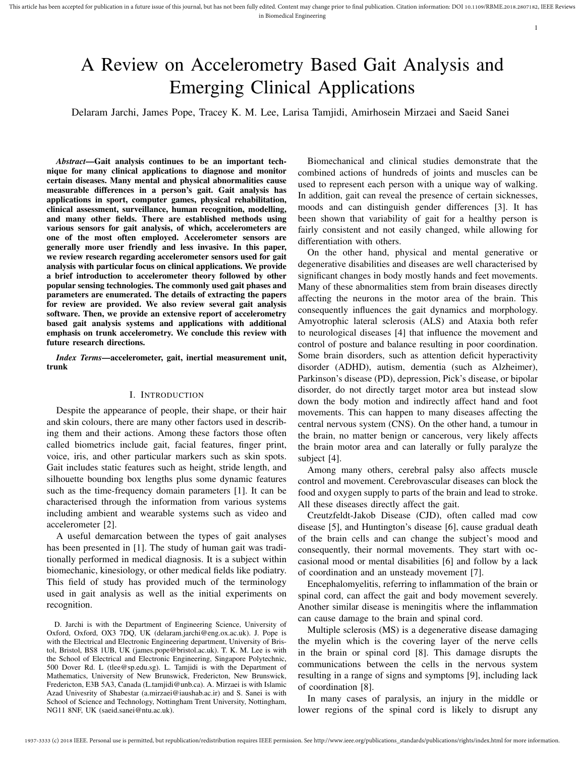# A Review on Accelerometry Based Gait Analysis and Emerging Clinical Applications

Delaram Jarchi, James Pope, Tracey K. M. Lee, Larisa Tamjidi, Amirhosein Mirzaei and Saeid Sanei

*Abstract*—Gait analysis continues to be an important technique for many clinical applications to diagnose and monitor certain diseases. Many mental and physical abnormalities cause measurable differences in a person's gait. Gait analysis has applications in sport, computer games, physical rehabilitation, clinical assessment, surveillance, human recognition, modelling, and many other fields. There are established methods using various sensors for gait analysis, of which, accelerometers are one of the most often employed. Accelerometer sensors are generally more user friendly and less invasive. In this paper, we review research regarding accelerometer sensors used for gait analysis with particular focus on clinical applications. We provide a brief introduction to accelerometer theory followed by other popular sensing technologies. The commonly used gait phases and parameters are enumerated. The details of extracting the papers for review are provided. We also review several gait analysis software. Then, we provide an extensive report of accelerometry based gait analysis systems and applications with additional emphasis on trunk accelerometry. We conclude this review with future research directions.

*Index Terms*—accelerometer, gait, inertial measurement unit, trunk

# I. INTRODUCTION

Despite the appearance of people, their shape, or their hair and skin colours, there are many other factors used in describing them and their actions. Among these factors those often called biometrics include gait, facial features, finger print, voice, iris, and other particular markers such as skin spots. Gait includes static features such as height, stride length, and silhouette bounding box lengths plus some dynamic features such as the time-frequency domain parameters [1]. It can be characterised through the information from various systems including ambient and wearable systems such as video and accelerometer [2].

A useful demarcation between the types of gait analyses has been presented in [1]. The study of human gait was traditionally performed in medical diagnosis. It is a subject within biomechanic, kinesiology, or other medical fields like podiatry. This field of study has provided much of the terminology used in gait analysis as well as the initial experiments on recognition.

D. Jarchi is with the Department of Engineering Science, University of Oxford, Oxford, OX3 7DQ, UK (delaram.jarchi@eng.ox.ac.uk). J. Pope is with the Electrical and Electronic Engineering department, University of Bristol, Bristol, BS8 1UB, UK (james.pope@bristol.ac.uk). T. K. M. Lee is with the School of Electrical and Electronic Engineering, Singapore Polytechnic, 500 Dover Rd. L (tlee@sp.edu.sg). L. Tamjidi is with the Department of Mathematics, University of New Brunswick, Fredericton, New Brunswick, Fredericton, E3B 5A3, Canada (L.tamjidi@unb.ca). A. Mirzaei is with Islamic Azad Univesrity of Shabestar (a.mirzaei@iaushab.ac.ir) and S. Sanei is with School of Science and Technology, Nottingham Trent University, Nottingham, NG11 8NF, UK (saeid.sanei@ntu.ac.uk).

Biomechanical and clinical studies demonstrate that the combined actions of hundreds of joints and muscles can be used to represent each person with a unique way of walking. In addition, gait can reveal the presence of certain sicknesses, moods and can distinguish gender differences [3]. It has been shown that variability of gait for a healthy person is fairly consistent and not easily changed, while allowing for differentiation with others.

On the other hand, physical and mental generative or degenerative disabilities and diseases are well characterised by significant changes in body mostly hands and feet movements. Many of these abnormalities stem from brain diseases directly affecting the neurons in the motor area of the brain. This consequently influences the gait dynamics and morphology. Amyotrophic lateral sclerosis (ALS) and Ataxia both refer to neurological diseases [4] that influence the movement and control of posture and balance resulting in poor coordination. Some brain disorders, such as attention deficit hyperactivity disorder (ADHD), autism, dementia (such as Alzheimer), Parkinson's disease (PD), depression, Pick's disease, or bipolar disorder, do not directly target motor area but instead slow down the body motion and indirectly affect hand and foot movements. This can happen to many diseases affecting the central nervous system (CNS). On the other hand, a tumour in the brain, no matter benign or cancerous, very likely affects the brain motor area and can laterally or fully paralyze the subject [4].

Among many others, cerebral palsy also affects muscle control and movement. Cerebrovascular diseases can block the food and oxygen supply to parts of the brain and lead to stroke. All these diseases directly affect the gait.

Creutzfeldt-Jakob Disease (CJD), often called mad cow disease [5], and Huntington's disease [6], cause gradual death of the brain cells and can change the subject's mood and consequently, their normal movements. They start with occasional mood or mental disabilities [6] and follow by a lack of coordination and an unsteady movement [7].

Encephalomyelitis, referring to inflammation of the brain or spinal cord, can affect the gait and body movement severely. Another similar disease is meningitis where the inflammation can cause damage to the brain and spinal cord.

Multiple sclerosis (MS) is a degenerative disease damaging the myelin which is the covering layer of the nerve cells in the brain or spinal cord [8]. This damage disrupts the communications between the cells in the nervous system resulting in a range of signs and symptoms [9], including lack of coordination [8].

In many cases of paralysis, an injury in the middle or lower regions of the spinal cord is likely to disrupt any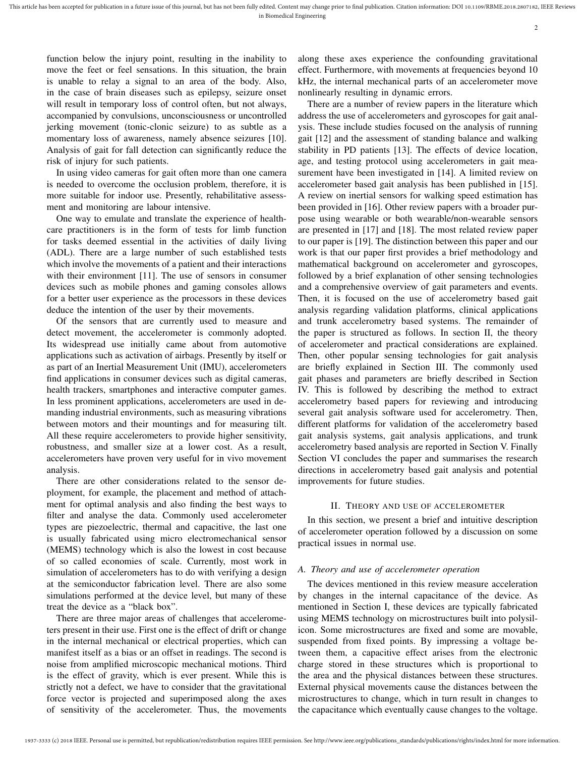function below the injury point, resulting in the inability to move the feet or feel sensations. In this situation, the brain is unable to relay a signal to an area of the body. Also, in the case of brain diseases such as epilepsy, seizure onset will result in temporary loss of control often, but not always, accompanied by convulsions, unconsciousness or uncontrolled jerking movement (tonic-clonic seizure) to as subtle as a momentary loss of awareness, namely absence seizures [10]. Analysis of gait for fall detection can significantly reduce the risk of injury for such patients.

In using video cameras for gait often more than one camera is needed to overcome the occlusion problem, therefore, it is more suitable for indoor use. Presently, rehabilitative assessment and monitoring are labour intensive.

One way to emulate and translate the experience of healthcare practitioners is in the form of tests for limb function for tasks deemed essential in the activities of daily living (ADL). There are a large number of such established tests which involve the movements of a patient and their interactions with their environment [11]. The use of sensors in consumer devices such as mobile phones and gaming consoles allows for a better user experience as the processors in these devices deduce the intention of the user by their movements.

Of the sensors that are currently used to measure and detect movement, the accelerometer is commonly adopted. Its widespread use initially came about from automotive applications such as activation of airbags. Presently by itself or as part of an Inertial Measurement Unit (IMU), accelerometers find applications in consumer devices such as digital cameras, health trackers, smartphones and interactive computer games. In less prominent applications, accelerometers are used in demanding industrial environments, such as measuring vibrations between motors and their mountings and for measuring tilt. All these require accelerometers to provide higher sensitivity, robustness, and smaller size at a lower cost. As a result, accelerometers have proven very useful for in vivo movement analysis.

There are other considerations related to the sensor deployment, for example, the placement and method of attachment for optimal analysis and also finding the best ways to filter and analyse the data. Commonly used accelerometer types are piezoelectric, thermal and capacitive, the last one is usually fabricated using micro electromechanical sensor (MEMS) technology which is also the lowest in cost because of so called economies of scale. Currently, most work in simulation of accelerometers has to do with verifying a design at the semiconductor fabrication level. There are also some simulations performed at the device level, but many of these treat the device as a "black box".

There are three major areas of challenges that accelerometers present in their use. First one is the effect of drift or change in the internal mechanical or electrical properties, which can manifest itself as a bias or an offset in readings. The second is noise from amplified microscopic mechanical motions. Third is the effect of gravity, which is ever present. While this is strictly not a defect, we have to consider that the gravitational force vector is projected and superimposed along the axes of sensitivity of the accelerometer. Thus, the movements

along these axes experience the confounding gravitational effect. Furthermore, with movements at frequencies beyond 10 kHz, the internal mechanical parts of an accelerometer move nonlinearly resulting in dynamic errors.

There are a number of review papers in the literature which address the use of accelerometers and gyroscopes for gait analysis. These include studies focused on the analysis of running gait [12] and the assessment of standing balance and walking stability in PD patients [13]. The effects of device location, age, and testing protocol using accelerometers in gait measurement have been investigated in [14]. A limited review on accelerometer based gait analysis has been published in [15]. A review on inertial sensors for walking speed estimation has been provided in [16]. Other review papers with a broader purpose using wearable or both wearable/non-wearable sensors are presented in [17] and [18]. The most related review paper to our paper is [19]. The distinction between this paper and our work is that our paper first provides a brief methodology and mathematical background on accelerometer and gyroscopes, followed by a brief explanation of other sensing technologies and a comprehensive overview of gait parameters and events. Then, it is focused on the use of accelerometry based gait analysis regarding validation platforms, clinical applications and trunk accelerometry based systems. The remainder of the paper is structured as follows. In section II, the theory of accelerometer and practical considerations are explained. Then, other popular sensing technologies for gait analysis are briefly explained in Section III. The commonly used gait phases and parameters are briefly described in Section IV. This is followed by describing the method to extract accelerometry based papers for reviewing and introducing several gait analysis software used for accelerometry. Then, different platforms for validation of the accelerometry based gait analysis systems, gait analysis applications, and trunk accelerometry based analysis are reported in Section V. Finally Section VI concludes the paper and summarises the research directions in accelerometry based gait analysis and potential improvements for future studies.

# II. THEORY AND USE OF ACCELEROMETER

In this section, we present a brief and intuitive description of accelerometer operation followed by a discussion on some practical issues in normal use.

# *A. Theory and use of accelerometer operation*

The devices mentioned in this review measure acceleration by changes in the internal capacitance of the device. As mentioned in Section I, these devices are typically fabricated using MEMS technology on microstructures built into polysilicon. Some microstructures are fixed and some are movable, suspended from fixed points. By impressing a voltage between them, a capacitive effect arises from the electronic charge stored in these structures which is proportional to the area and the physical distances between these structures. External physical movements cause the distances between the microstructures to change, which in turn result in changes to the capacitance which eventually cause changes to the voltage.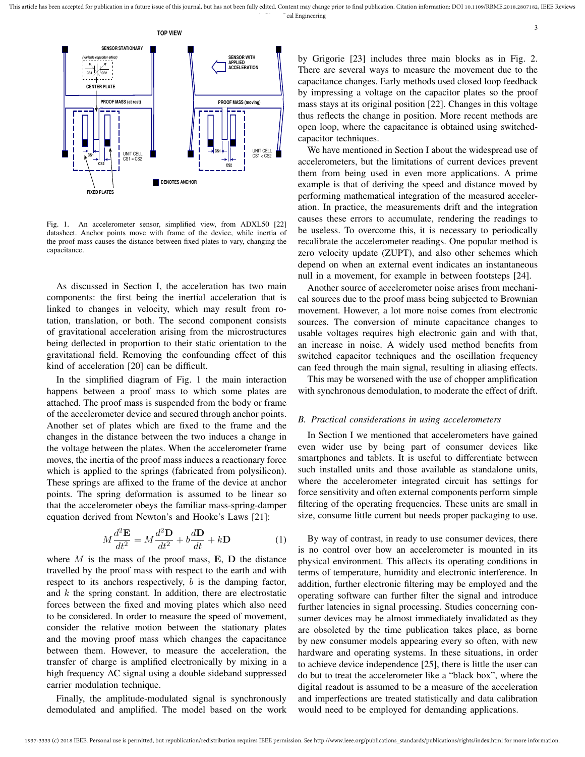3

**PROOF MASS (moving)** UNIT CELL CS1 < CS2 **CS2 CS1 FIXED PLATES PROOF MASS (at rest) DENOTES ANCHOR** UNIT CELL CS1 = CS2 **CS2 CS1 CENTER PLATE** Fig. 1. An accelerometer sensor, simplified view, from ADXL50 [22] datasheet. Anchor points move with frame of the device, while inertia of the proof mass causes the distance between fixed plates to vary, changing the capacitance. capacitor techniques.

> As discussed in Section I, the acceleration has two main components: the first being the inertial acceleration that is linked to changes in velocity, which may result from rotation, translation, or both. The second component consists of gravitational acceleration arising from the microstructures being deflected in proportion to their static orientation to the gravitational field. Removing the confounding effect of this kind of acceleration [20] can be difficult.

> In the simplified diagram of Fig. 1 the main interaction happens between a proof mass to which some plates are attached. The proof mass is suspended from the body or frame of the accelerometer device and secured through anchor points. Another set of plates which are fixed to the frame and the changes in the distance between the two induces a change in the voltage between the plates. When the accelerometer frame moves, the inertia of the proof mass induces a reactionary force which is applied to the springs (fabricated from polysilicon). These springs are affixed to the frame of the device at anchor points. The spring deformation is assumed to be linear so that the accelerometer obeys the familiar mass-spring-damper equation derived from Newton's and Hooke's Laws [21]:

$$
M\frac{d^2\mathbf{E}}{dt^2} = M\frac{d^2\mathbf{D}}{dt^2} + b\frac{d\mathbf{D}}{dt} + k\mathbf{D}
$$
 (1)

where  $M$  is the mass of the proof mass,  $E$ ,  $D$  the distance travelled by the proof mass with respect to the earth and with respect to its anchors respectively,  $b$  is the damping factor, and  $k$  the spring constant. In addition, there are electrostatic forces between the fixed and moving plates which also need to be considered. In order to measure the speed of movement, consider the relative motion between the stationary plates and the moving proof mass which changes the capacitance between them. However, to measure the acceleration, the transfer of charge is amplified electronically by mixing in a high frequency AC signal using a double sideband suppressed carrier modulation technique.

Finally, the amplitude-modulated signal is synchronously demodulated and amplified. The model based on the work by Grigorie [23] includes three main blocks as in Fig. 2. There are several ways to measure the movement due to the capacitance changes. Early methods used closed loop feedback by impressing a voltage on the capacitor plates so the proof mass stays at its original position [22]. Changes in this voltage thus reflects the change in position. More recent methods are open loop, where the capacitance is obtained using switched-

We have mentioned in Section I about the widespread use of accelerometers, but the limitations of current devices prevent them from being used in even more applications. A prime example is that of deriving the speed and distance moved by performing mathematical integration of the measured acceleration. In practice, the measurements drift and the integration causes these errors to accumulate, rendering the readings to be useless. To overcome this, it is necessary to periodically recalibrate the accelerometer readings. One popular method is zero velocity update (ZUPT), and also other schemes which depend on when an external event indicates an instantaneous null in a movement, for example in between footsteps [24].

Another source of accelerometer noise arises from mechanical sources due to the proof mass being subjected to Brownian movement. However, a lot more noise comes from electronic sources. The conversion of minute capacitance changes to usable voltages requires high electronic gain and with that, an increase in noise. A widely used method benefits from switched capacitor techniques and the oscillation frequency can feed through the main signal, resulting in aliasing effects.

This may be worsened with the use of chopper amplification with synchronous demodulation, to moderate the effect of drift.

# *B. Practical considerations in using accelerometers*

In Section I we mentioned that accelerometers have gained even wider use by being part of consumer devices like smartphones and tablets. It is useful to differentiate between such installed units and those available as standalone units, where the accelerometer integrated circuit has settings for force sensitivity and often external components perform simple filtering of the operating frequencies. These units are small in size, consume little current but needs proper packaging to use.

By way of contrast, in ready to use consumer devices, there is no control over how an accelerometer is mounted in its physical environment. This affects its operating conditions in terms of temperature, humidity and electronic interference. In addition, further electronic filtering may be employed and the operating software can further filter the signal and introduce further latencies in signal processing. Studies concerning consumer devices may be almost immediately invalidated as they are obsoleted by the time publication takes place, as borne by new consumer models appearing every so often, with new hardware and operating systems. In these situations, in order to achieve device independence [25], there is little the user can do but to treat the accelerometer like a "black box", where the digital readout is assumed to be a measure of the acceleration and imperfections are treated statistically and data calibration would need to be employed for demanding applications.

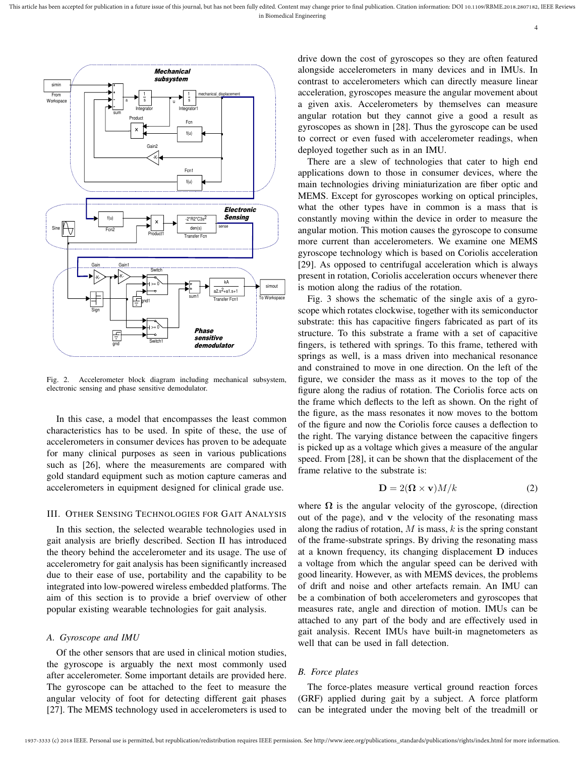

Fig. 2. Accelerometer block diagram including mechanical subsystem, electronic sensing and phase sensitive demodulator.

In this case, a model that encompasses the least common characteristics has to be used. In spite of these, the use of accelerometers in consumer devices has proven to be adequate for many clinical purposes as seen in various publications such as [26], where the measurements are compared with gold standard equipment such as motion capture cameras and accelerometers in equipment designed for clinical grade use.

# III. OTHER SENSING TECHNOLOGIES FOR GAIT ANALYSIS

In this section, the selected wearable technologies used in gait analysis are briefly described. Section II has introduced the theory behind the accelerometer and its usage. The use of accelerometry for gait analysis has been significantly increased due to their ease of use, portability and the capability to be integrated into low-powered wireless embedded platforms. The aim of this section is to provide a brief overview of other popular existing wearable technologies for gait analysis.

#### *A. Gyroscope and IMU*

Of the other sensors that are used in clinical motion studies, the gyroscope is arguably the next most commonly used after accelerometer. Some important details are provided here. The gyroscope can be attached to the feet to measure the angular velocity of foot for detecting different gait phases [27]. The MEMS technology used in accelerometers is used to

drive down the cost of gyroscopes so they are often featured alongside accelerometers in many devices and in IMUs. In contrast to accelerometers which can directly measure linear acceleration, gyroscopes measure the angular movement about a given axis. Accelerometers by themselves can measure angular rotation but they cannot give a good a result as gyroscopes as shown in [28]. Thus the gyroscope can be used to correct or even fused with accelerometer readings, when deployed together such as in an IMU.

There are a slew of technologies that cater to high end applications down to those in consumer devices, where the main technologies driving miniaturization are fiber optic and MEMS. Except for gyroscopes working on optical principles, what the other types have in common is a mass that is constantly moving within the device in order to measure the angular motion. This motion causes the gyroscope to consume more current than accelerometers. We examine one MEMS gyroscope technology which is based on Coriolis acceleration [29]. As opposed to centrifugal acceleration which is always present in rotation, Coriolis acceleration occurs whenever there is motion along the radius of the rotation.

Fig. 3 shows the schematic of the single axis of a gyroscope which rotates clockwise, together with its semiconductor substrate: this has capacitive fingers fabricated as part of its structure. To this substrate a frame with a set of capacitive fingers, is tethered with springs. To this frame, tethered with springs as well, is a mass driven into mechanical resonance and constrained to move in one direction. On the left of the figure, we consider the mass as it moves to the top of the figure along the radius of rotation. The Coriolis force acts on the frame which deflects to the left as shown. On the right of the figure, as the mass resonates it now moves to the bottom of the figure and now the Coriolis force causes a deflection to the right. The varying distance between the capacitive fingers is picked up as a voltage which gives a measure of the angular speed. From [28], it can be shown that the displacement of the frame relative to the substrate is:

$$
\mathbf{D} = 2(\mathbf{\Omega} \times \mathbf{v})M/k \tag{2}
$$

where  $\Omega$  is the angular velocity of the gyroscope, (direction out of the page), and v the velocity of the resonating mass along the radius of rotation,  $M$  is mass,  $k$  is the spring constant of the frame-substrate springs. By driving the resonating mass at a known frequency, its changing displacement D induces a voltage from which the angular speed can be derived with good linearity. However, as with MEMS devices, the problems of drift and noise and other artefacts remain. An IMU can be a combination of both accelerometers and gyroscopes that measures rate, angle and direction of motion. IMUs can be attached to any part of the body and are effectively used in gait analysis. Recent IMUs have built-in magnetometers as well that can be used in fall detection.

# *B. Force plates*

The force-plates measure vertical ground reaction forces (GRF) applied during gait by a subject. A force platform can be integrated under the moving belt of the treadmill or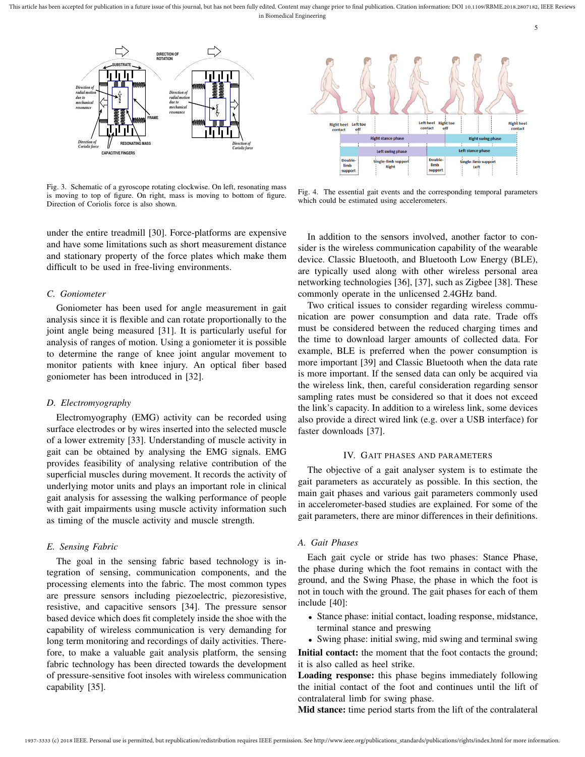This article has been accepted for publication in a future issue of this journal, but has not been fully edited. Content may change prior to final publication. Citation information: DOI 10.1109/RBME.2018.2807182, IEEE Revi in Biomedical Engineering



Fig. 3. Schematic of a gyroscope rotating clockwise. On left, resonating mass is moving to top of figure. On right, mass is moving to bottom of figure. Direction of Coriolis force is also shown.

under the entire treadmill [30]. Force-platforms are expensive and have some limitations such as short measurement distance and stationary property of the force plates which make them difficult to be used in free-living environments.

# *C. Goniometer*

Goniometer has been used for angle measurement in gait analysis since it is flexible and can rotate proportionally to the joint angle being measured [31]. It is particularly useful for analysis of ranges of motion. Using a goniometer it is possible to determine the range of knee joint angular movement to monitor patients with knee injury. An optical fiber based goniometer has been introduced in [32].

# *D. Electromyography*

Electromyography (EMG) activity can be recorded using surface electrodes or by wires inserted into the selected muscle of a lower extremity [33]. Understanding of muscle activity in gait can be obtained by analysing the EMG signals. EMG provides feasibility of analysing relative contribution of the superficial muscles during movement. It records the activity of underlying motor units and plays an important role in clinical gait analysis for assessing the walking performance of people with gait impairments using muscle activity information such as timing of the muscle activity and muscle strength.

#### *E. Sensing Fabric*

The goal in the sensing fabric based technology is integration of sensing, communication components, and the processing elements into the fabric. The most common types are pressure sensors including piezoelectric, piezoresistive, resistive, and capacitive sensors [34]. The pressure sensor based device which does fit completely inside the shoe with the capability of wireless communication is very demanding for long term monitoring and recordings of daily activities. Therefore, to make a valuable gait analysis platform, the sensing fabric technology has been directed towards the development of pressure-sensitive foot insoles with wireless communication capability [35].



5

Fig. 4. The essential gait events and the corresponding temporal parameters which could be estimated using accelerometers.

In addition to the sensors involved, another factor to consider is the wireless communication capability of the wearable device. Classic Bluetooth, and Bluetooth Low Energy (BLE), are typically used along with other wireless personal area networking technologies [36], [37], such as Zigbee [38]. These commonly operate in the unlicensed 2.4GHz band.

Two critical issues to consider regarding wireless communication are power consumption and data rate. Trade offs must be considered between the reduced charging times and the time to download larger amounts of collected data. For example, BLE is preferred when the power consumption is more important [39] and Classic Bluetooth when the data rate is more important. If the sensed data can only be acquired via the wireless link, then, careful consideration regarding sensor sampling rates must be considered so that it does not exceed the link's capacity. In addition to a wireless link, some devices also provide a direct wired link (e.g. over a USB interface) for faster downloads [37].

#### IV. GAIT PHASES AND PARAMETERS

The objective of a gait analyser system is to estimate the gait parameters as accurately as possible. In this section, the main gait phases and various gait parameters commonly used in accelerometer-based studies are explained. For some of the gait parameters, there are minor differences in their definitions.

# *A. Gait Phases*

Each gait cycle or stride has two phases: Stance Phase, the phase during which the foot remains in contact with the ground, and the Swing Phase, the phase in which the foot is not in touch with the ground. The gait phases for each of them include [40]:

- Stance phase: initial contact, loading response, midstance, terminal stance and preswing
- Swing phase: initial swing, mid swing and terminal swing Initial contact: the moment that the foot contacts the ground;

it is also called as heel strike.

Loading response: this phase begins immediately following the initial contact of the foot and continues until the lift of contralateral limb for swing phase.

Mid stance: time period starts from the lift of the contralateral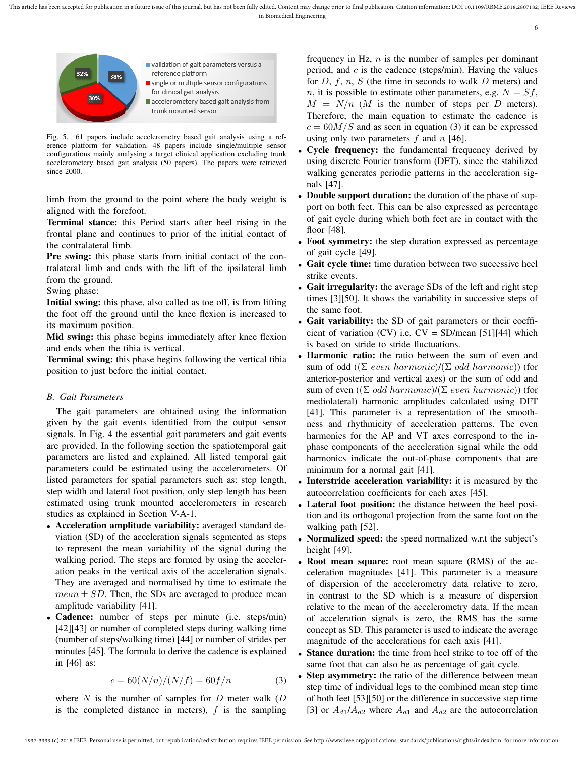

Fig. 5. 61 papers include accelerometry based gait analysis using a reference platform for validation. 48 papers include single/multiple sensor configurations mainly analysing a target clinical application excluding trunk accelerometery based gait analysis (50 papers). The papers were retrieved since 2000.

limb from the ground to the point where the body weight is aligned with the forefoot.

Terminal stance: this Period starts after heel rising in the frontal plane and continues to prior of the initial contact of the contralateral limb.

Pre swing: this phase starts from initial contact of the contralateral limb and ends with the lift of the ipsilateral limb from the ground.

Swing phase:

Initial swing: this phase, also called as toe off, is from lifting the foot off the ground until the knee flexion is increased to its maximum position.

Mid swing: this phase begins immediately after knee flexion and ends when the tibia is vertical.

Terminal swing: this phase begins following the vertical tibia position to just before the initial contact.

# *B. Gait Parameters*

The gait parameters are obtained using the information given by the gait events identified from the output sensor signals. In Fig. 4 the essential gait parameters and gait events are provided. In the following section the spatiotemporal gait parameters are listed and explained. All listed temporal gait parameters could be estimated using the accelerometers. Of listed parameters for spatial parameters such as: step length, step width and lateral foot position, only step length has been estimated using trunk mounted accelerometers in research studies as explained in Section V-A-1.

- Acceleration amplitude variability: averaged standard deviation (SD) of the acceleration signals segmented as steps to represent the mean variability of the signal during the walking period. The steps are formed by using the acceleration peaks in the vertical axis of the acceleration signals. They are averaged and normalised by time to estimate the  $mean \pm SD$ . Then, the SDs are averaged to produce mean amplitude variability [41].
- Cadence: number of steps per minute (i.e. steps/min) [42][43] or number of completed steps during walking time (number of steps/walking time) [44] or number of strides per minutes [45]. The formula to derive the cadence is explained in [46] as:

$$
c = 60(N/n)/(N/f) = 60f/n
$$
 (3)

where  $N$  is the number of samples for  $D$  meter walk  $(D)$ is the completed distance in meters),  $f$  is the sampling frequency in Hz,  $n$  is the number of samples per dominant period, and  $c$  is the cadence (steps/min). Having the values for  $D$ ,  $f$ ,  $n$ ,  $S$  (the time in seconds to walk  $D$  meters) and n, it is possible to estimate other parameters, e.g.  $N = Sf$ ,  $M = N/n$  (*M* is the number of steps per *D* meters). Therefore, the main equation to estimate the cadence is  $c = 60M/S$  and as seen in equation (3) it can be expressed using only two parameters  $f$  and  $n$  [46].

- Cycle frequency: the fundamental frequency derived by using discrete Fourier transform (DFT), since the stabilized walking generates periodic patterns in the acceleration signals [47].
- **Double support duration:** the duration of the phase of support on both feet. This can be also expressed as percentage of gait cycle during which both feet are in contact with the floor [48].
- Foot symmetry: the step duration expressed as percentage of gait cycle [49].
- Gait cycle time: time duration between two successive heel strike events.
- Gait irregularity: the average SDs of the left and right step times [3][50]. It shows the variability in successive steps of the same foot.
- Gait variability: the SD of gait parameters or their coefficient of variation (CV) i.e.  $CV = SD/mean$  [51][44] which is based on stride to stride fluctuations.
- Harmonic ratio: the ratio between the sum of even and sum of odd ( $(\Sigma$  *even harmonic*)/ $(\Sigma$  *odd harmonic*)) (for anterior-posterior and vertical axes) or the sum of odd and sum of even  $((\Sigma \ odd \ harmonic) / (\Sigma \ even \ harmonic))$  (for mediolateral) harmonic amplitudes calculated using DFT [41]. This parameter is a representation of the smoothness and rhythmicity of acceleration patterns. The even harmonics for the AP and VT axes correspond to the inphase components of the acceleration signal while the odd harmonics indicate the out-of-phase components that are minimum for a normal gait [41].
- Interstride acceleration variability: it is measured by the autocorrelation coefficients for each axes [45].
- Lateral foot position: the distance between the heel position and its orthogonal projection from the same foot on the walking path [52].
- Normalized speed: the speed normalized w.r.t the subject's height [49].
- Root mean square: root mean square (RMS) of the acceleration magnitudes [41]. This parameter is a measure of dispersion of the accelerometry data relative to zero, in contrast to the SD which is a measure of dispersion relative to the mean of the accelerometry data. If the mean of acceleration signals is zero, the RMS has the same concept as SD. This parameter is used to indicate the average magnitude of the accelerations for each axis [41].
- Stance duration: the time from heel strike to toe off of the same foot that can also be as percentage of gait cycle.
- Step asymmetry: the ratio of the difference between mean step time of individual legs to the combined mean step time of both feet [53][50] or the difference in successive step time [3] or  $A_{d1}/A_{d2}$  where  $A_{d1}$  and  $A_{d2}$  are the autocorrelation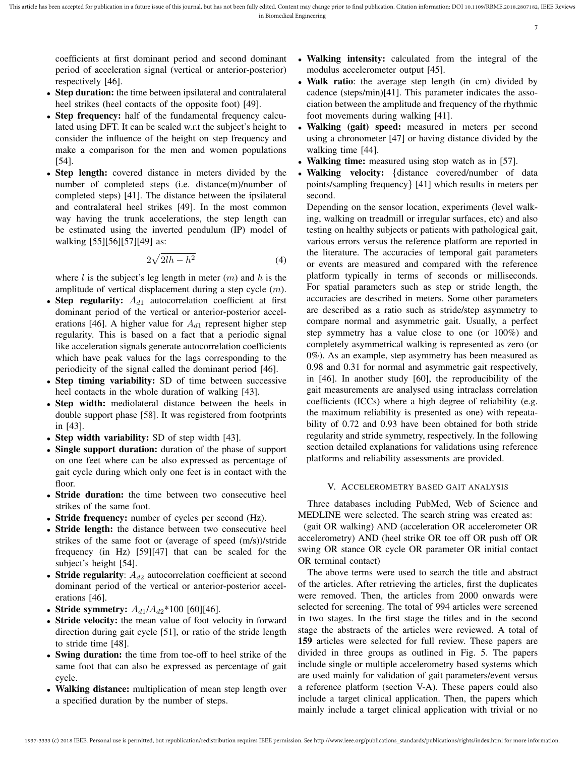coefficients at first dominant period and second dominant period of acceleration signal (vertical or anterior-posterior) respectively [46].

- Step duration: the time between ipsilateral and contralateral heel strikes (heel contacts of the opposite foot) [49].
- Step frequency: half of the fundamental frequency calculated using DFT. It can be scaled w.r.t the subject's height to consider the influence of the height on step frequency and make a comparison for the men and women populations [54].
- Step length: covered distance in meters divided by the number of completed steps (i.e. distance(m)/number of completed steps) [41]. The distance between the ipsilateral and contralateral heel strikes [49]. In the most common way having the trunk accelerations, the step length can be estimated using the inverted pendulum (IP) model of walking [55][56][57][49] as:

$$
2\sqrt{2lh-h^2} \tag{4}
$$

where  $l$  is the subject's leg length in meter  $(m)$  and  $h$  is the amplitude of vertical displacement during a step cycle (m).

- Step regularity:  $A_{d1}$  autocorrelation coefficient at first dominant period of the vertical or anterior-posterior accelerations [46]. A higher value for  $A_{d1}$  represent higher step regularity. This is based on a fact that a periodic signal like acceleration signals generate autocorrelation coefficients which have peak values for the lags corresponding to the periodicity of the signal called the dominant period [46].
- Step timing variability: SD of time between successive heel contacts in the whole duration of walking [43].
- Step width: mediolateral distance between the heels in double support phase [58]. It was registered from footprints in [43].
- Step width variability: SD of step width [43].
- Single support duration: duration of the phase of support on one feet where can be also expressed as percentage of gait cycle during which only one feet is in contact with the floor.
- Stride duration: the time between two consecutive heel strikes of the same foot.
- Stride frequency: number of cycles per second (Hz).
- Stride length: the distance between two consecutive heel strikes of the same foot or (average of speed (m/s))/stride frequency (in Hz) [59][47] that can be scaled for the subject's height [54].
- Stride regularity:  $A_{d2}$  autocorrelation coefficient at second dominant period of the vertical or anterior-posterior accelerations [46].
- Stride symmetry:  $A_{d1}/A_{d2}*100$  [60][46].
- Stride velocity: the mean value of foot velocity in forward direction during gait cycle [51], or ratio of the stride length to stride time [48].
- **Swing duration:** the time from toe-off to heel strike of the same foot that can also be expressed as percentage of gait cycle.
- Walking distance: multiplication of mean step length over a specified duration by the number of steps.
- Walking intensity: calculated from the integral of the modulus accelerometer output [45].
- Walk ratio: the average step length (in cm) divided by cadence (steps/min)[41]. This parameter indicates the association between the amplitude and frequency of the rhythmic foot movements during walking [41].
- Walking (gait) speed: measured in meters per second using a chronometer [47] or having distance divided by the walking time [44].
- Walking time: measured using stop watch as in [57].
- Walking velocity: {distance covered/number of data points/sampling frequency} [41] which results in meters per second.

Depending on the sensor location, experiments (level walking, walking on treadmill or irregular surfaces, etc) and also testing on healthy subjects or patients with pathological gait, various errors versus the reference platform are reported in the literature. The accuracies of temporal gait parameters or events are measured and compared with the reference platform typically in terms of seconds or milliseconds. For spatial parameters such as step or stride length, the accuracies are described in meters. Some other parameters are described as a ratio such as stride/step asymmetry to compare normal and asymmetric gait. Usually, a perfect step symmetry has a value close to one (or 100%) and completely asymmetrical walking is represented as zero (or 0%). As an example, step asymmetry has been measured as 0.98 and 0.31 for normal and asymmetric gait respectively, in [46]. In another study [60], the reproducibility of the gait measurements are analysed using intraclass correlation coefficients (ICCs) where a high degree of reliability (e.g. the maximum reliability is presented as one) with repeatability of 0.72 and 0.93 have been obtained for both stride regularity and stride symmetry, respectively. In the following section detailed explanations for validations using reference platforms and reliability assessments are provided.

#### V. ACCELEROMETRY BASED GAIT ANALYSIS

Three databases including PubMed, Web of Science and MEDLINE were selected. The search string was created as:

(gait OR walking) AND (acceleration OR accelerometer OR accelerometry) AND (heel strike OR toe off OR push off OR swing OR stance OR cycle OR parameter OR initial contact OR terminal contact)

The above terms were used to search the title and abstract of the articles. After retrieving the articles, first the duplicates were removed. Then, the articles from 2000 onwards were selected for screening. The total of 994 articles were screened in two stages. In the first stage the titles and in the second stage the abstracts of the articles were reviewed. A total of 159 articles were selected for full review. These papers are divided in three groups as outlined in Fig. 5. The papers include single or multiple accelerometry based systems which are used mainly for validation of gait parameters/event versus a reference platform (section V-A). These papers could also include a target clinical application. Then, the papers which mainly include a target clinical application with trivial or no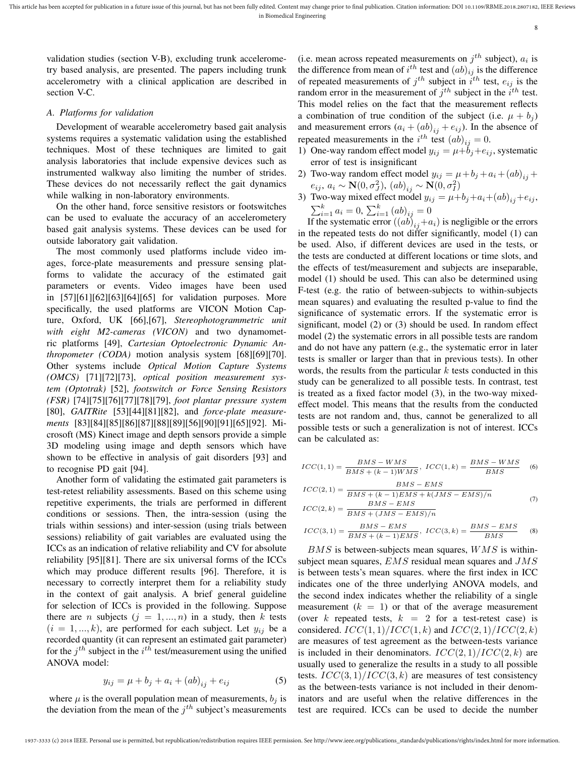validation studies (section V-B), excluding trunk accelerometry based analysis, are presented. The papers including trunk accelerometry with a clinical application are described in section V-C.

# *A. Platforms for validation*

Development of wearable accelerometry based gait analysis systems requires a systematic validation using the established techniques. Most of these techniques are limited to gait analysis laboratories that include expensive devices such as instrumented walkway also limiting the number of strides. These devices do not necessarily reflect the gait dynamics while walking in non-laboratory environments.

On the other hand, force sensitive resistors or footswitches can be used to evaluate the accuracy of an accelerometery based gait analysis systems. These devices can be used for outside laboratory gait validation.

The most commonly used platforms include video images, force-plate measurements and pressure sensing platforms to validate the accuracy of the estimated gait parameters or events. Video images have been used in [57][61][62][63][64][65] for validation purposes. More specifically, the used platforms are VICON Motion Capture, Oxford, UK [66],[67], *Stereophotogrammetric unit with eight M2-cameras (VICON)* and two dynamometric platforms [49], *Cartesian Optoelectronic Dynamic Anthropometer (CODA)* motion analysis system [68][69][70]. Other systems include *Optical Motion Capture Systems (OMCS)* [71][72][73], *optical position measurement system (Optotrak)* [52], *footswitch or Force Sensing Resistors (FSR)* [74][75][76][77][78][79], *foot plantar pressure system* [80], *GAITRite* [53][44][81][82], and *force-plate measurements* [83][84][85][86][87][88][89][56][90][91][65][92]. Microsoft (MS) Kinect image and depth sensors provide a simple 3D modeling using image and depth sensors which have shown to be effective in analysis of gait disorders [93] and to recognise PD gait [94].

Another form of validating the estimated gait parameters is test-retest reliability assessments. Based on this scheme using repetitive experiments, the trials are performed in different conditions or sessions. Then, the intra-session (using the trials within sessions) and inter-session (using trials between sessions) reliability of gait variables are evaluated using the ICCs as an indication of relative reliability and CV for absolute reliability [95][81]. There are six universal forms of the ICCs which may produce different results [96]. Therefore, it is necessary to correctly interpret them for a reliability study in the context of gait analysis. A brief general guideline for selection of ICCs is provided in the following. Suppose there are *n* subjects  $(j = 1, ..., n)$  in a study, then k tests  $(i = 1, ..., k)$ , are performed for each subject. Let  $y_{ij}$  be a recorded quantity (it can represent an estimated gait parameter) for the  $j^{th}$  subject in the  $i^{th}$  test/measurement using the unified ANOVA model:

$$
y_{ij} = \mu + b_j + a_i + (ab)_{ij} + e_{ij}
$$
 (5)

where  $\mu$  is the overall population mean of measurements,  $b_j$  is the deviation from the mean of the  $j<sup>th</sup>$  subject's measurements

(i.e. mean across repeated measurements on  $j<sup>th</sup>$  subject),  $a<sub>i</sub>$  is the difference from mean of  $i^{th}$  test and  $(ab)_{ij}$  is the difference of repeated measurements of  $j^{th}$  subject in  $i^{th}$  test,  $e_{ij}$  is the random error in the measurement of  $j<sup>th</sup>$  subject in the  $i<sup>th</sup>$  test. This model relies on the fact that the measurement reflects a combination of true condition of the subject (i.e.  $\mu + b_i$ ) and measurement errors  $(a_i + (ab)_{ij} + e_{ij})$ . In the absence of repeated measurements in the *i*<sup>th</sup> test  $(ab)_{ij} = 0$ .

- 1) One-way random effect model  $y_{ij} = \mu + \dot{b}_j + e_{ij}$ , systematic error of test is insignificant
- 2) Two-way random effect model  $y_{ij} = \mu + b_j + a_i + (ab)_{ij} + b_j$  $e_{ij}, a_i \sim \mathbf{N}(0, \sigma_J^2), (ab)_{ij} \sim \mathbf{N}(0, \sigma_I^2)$
- 3) Two-way mixed effect model  $y_{ij} = \mu + b_j + a_i + (ab)_{ij} + e_{ij}$ ,  $\sum_{i=1}^{k} a_i = 0, \sum_{i=1}^{k} (ab)_{ij} = 0$

If the systematic error  $((ab)_{ij} + a_i)$  is negligible or the errors in the repeated tests do not differ significantly, model (1) can be used. Also, if different devices are used in the tests, or the tests are conducted at different locations or time slots, and the effects of test/measurement and subjects are inseparable, model (1) should be used. This can also be determined using F-test (e.g. the ratio of between-subjects to within-subjects mean squares) and evaluating the resulted p-value to find the significance of systematic errors. If the systematic error is significant, model (2) or (3) should be used. In random effect model (2) the systematic errors in all possible tests are random and do not have any pattern (e.g., the systematic error in later tests is smaller or larger than that in previous tests). In other words, the results from the particular  $k$  tests conducted in this study can be generalized to all possible tests. In contrast, test is treated as a fixed factor model (3), in the two-way mixedeffect model. This means that the results from the conducted tests are not random and, thus, cannot be generalized to all possible tests or such a generalization is not of interest. ICCs can be calculated as:

$$
ICC(1,1) = \frac{BMS - WMS}{BMS + (k-1)WMS}, \ ICC(1,k) = \frac{BMS - WMS}{BMS} \quad (6)
$$

$$
ICC(2,1) = \frac{BMS - EMS}{BMS + (k-1)EMS + k(JMS - EMS)/n}
$$
  
\n
$$
BMS - EMS
$$
  
\n(7)

$$
ICC(2,k) = \frac{BMS - EMS}{BMS + (JMS - EMS)/n}
$$

$$
ICC(3,1) = \frac{BMS - EMS}{BMS + (k-1)EMS}, \; ICC(3,k) = \frac{BMS - EMS}{BMS} \tag{8}
$$

 $BMS$  is between-subjects mean squares,  $WMS$  is withinsubject mean squares, EMS residual mean squares and JMS is between tests's mean squares. where the first index in ICC indicates one of the three underlying ANOVA models, and the second index indicates whether the reliability of a single measurement  $(k = 1)$  or that of the average measurement (over k repeated tests,  $k = 2$  for a test-retest case) is considered.  $ICC(1, 1)/ICC(1, k)$  and  $ICC(2, 1)/ICC(2, k)$ are measures of test agreement as the between-tests variance is included in their denominators.  $ICC(2, 1)/ICC(2, k)$  are usually used to generalize the results in a study to all possible tests.  $ICC(3, 1)/ICC(3, k)$  are measures of test consistency as the between-tests variance is not included in their denominators and are useful when the relative differences in the test are required. ICCs can be used to decide the number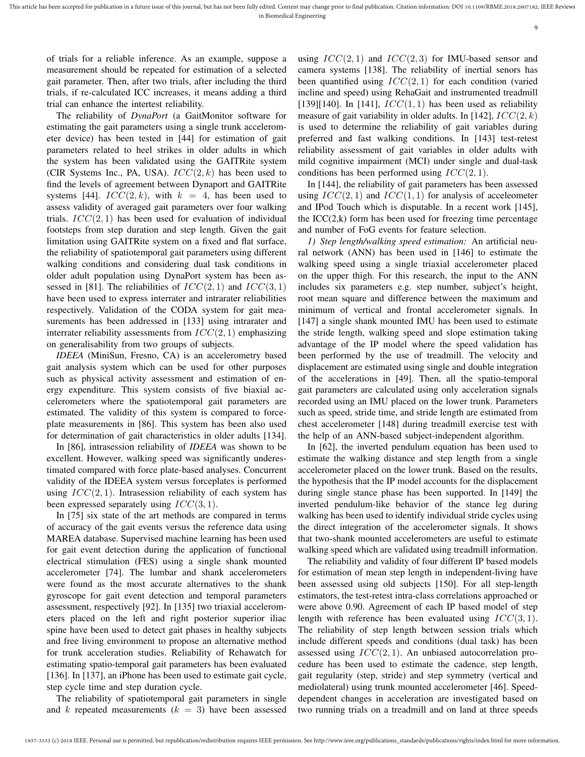of trials for a reliable inference. As an example, suppose a measurement should be repeated for estimation of a selected gait parameter. Then, after two trials, after including the third trials, if re-calculated ICC increases, it means adding a third trial can enhance the intertest reliability.

The reliability of *DynaPort* (a GaitMonitor software for estimating the gait parameters using a single trunk accelerometer device) has been tested in [44] for estimation of gait parameters related to heel strikes in older adults in which the system has been validated using the GAITRite system (CIR Systems Inc., PA, USA).  $ICC(2, k)$  has been used to find the levels of agreement between Dynaport and GAITRite systems [44].  $ICC(2, k)$ , with  $k = 4$ , has been used to assess validity of averaged gait parameters over four walking trials.  $ICC(2, 1)$  has been used for evaluation of individual footsteps from step duration and step length. Given the gait limitation using GAITRite system on a fixed and flat surface, the reliability of spatiotemporal gait parameters using different walking conditions and considering dual task conditions in older adult population using DynaPort system has been assessed in [81]. The reliabilities of  $ICC(2, 1)$  and  $ICC(3, 1)$ have been used to express interrater and intrarater reliabilities respectively. Validation of the CODA system for gait measurements has been addressed in [133] using intrarater and interrater reliability assessments from  $ICC(2, 1)$  emphasizing on generalisability from two groups of subjects.

*IDEEA* (MiniSun, Fresno, CA) is an accelerometry based gait analysis system which can be used for other purposes such as physical activity assessment and estimation of energy expenditure. This system consists of five biaxial accelerometers where the spatiotemporal gait parameters are estimated. The validity of this system is compared to forceplate measurements in [86]. This system has been also used for determination of gait characteristics in older adults [134].

In [86], intrasession reliability of *IDEEA* was shown to be excellent. However, walking speed was significantly underestimated compared with force plate-based analyses. Concurrent validity of the IDEEA system versus forceplates is performed using  $ICC(2, 1)$ . Intrasession reliability of each system has been expressed separately using  $ICC(3, 1)$ .

In [75] six state of the art methods are compared in terms of accuracy of the gait events versus the reference data using MAREA database. Supervised machine learning has been used for gait event detection during the application of functional electrical stimulation (FES) using a single shank mounted accelerometer [74]. The lumbar and shank accelerometers were found as the most accurate alternatives to the shank gyroscope for gait event detection and temporal parameters assessment, respectively [92]. In [135] two triaxial accelerometers placed on the left and right posterior superior iliac spine have been used to detect gait phases in healthy subjects and free living environment to propose an alternative method for trunk acceleration studies. Reliability of Rehawatch for estimating spatio-temporal gait parameters has been evaluated [136]. In [137], an iPhone has been used to estimate gait cycle, step cycle time and step duration cycle.

The reliability of spatiotemporal gait parameters in single and k repeated measurements  $(k = 3)$  have been assessed

using  $ICC(2, 1)$  and  $ICC(2, 3)$  for IMU-based sensor and camera systems [138]. The reliability of inertial senors has been quantified using  $ICC(2, 1)$  for each condition (varied incline and speed) using RehaGait and instrumented treadmill [139][140]. In [141],  $ICC(1,1)$  has been used as reliability measure of gait variability in older adults. In [142],  $ICC(2, k)$ is used to determine the reliability of gait variables during preferred and fast walking conditions. In [143] test-retest reliability assessment of gait variables in older adults with mild cognitive impairment (MCI) under single and dual-task conditions has been performed using  $ICC(2, 1)$ .

In [144], the reliability of gait parameters has been assessed using  $ICC(2, 1)$  and  $ICC(1, 1)$  for analysis of acceleometer and IPod Touch which is disputable. In a recent work [145], the  $ICC(2,k)$  form has been used for freezing time percentage and number of FoG events for feature selection.

*1) Step length/walking speed estimation:* An artificial neural network (ANN) has been used in [146] to estimate the walking speed using a single triaxial accelerometer placed on the upper thigh. For this research, the input to the ANN includes six parameters e.g. step number, subject's height, root mean square and difference between the maximum and minimum of vertical and frontal accelerometer signals. In [147] a single shank mounted IMU has been used to estimate the stride length, walking speed and slope estimation taking advantage of the IP model where the speed validation has been performed by the use of treadmill. The velocity and displacement are estimated using single and double integration of the accelerations in [49]. Then, all the spatio-temporal gait parameters are calculated using only acceleration signals recorded using an IMU placed on the lower trunk. Parameters such as speed, stride time, and stride length are estimated from chest accelerometer [148] during treadmill exercise test with the help of an ANN-based subject-independent algorithm.

In [62], the inverted pendulum equation has been used to estimate the walking distance and step length from a single accelerometer placed on the lower trunk. Based on the results, the hypothesis that the IP model accounts for the displacement during single stance phase has been supported. In [149] the inverted pendulum-like behavior of the stance leg during walking has been used to identify individual stride cycles using the direct integration of the accelerometer signals. It shows that two-shank mounted accelerometers are useful to estimate walking speed which are validated using treadmill information.

The reliability and validity of four different IP based models for estimation of mean step length in independent-living have been assessed using old subjects [150]. For all step-length estimators, the test-retest intra-class correlations approached or were above 0.90. Agreement of each IP based model of step length with reference has been evaluated using  $ICC(3, 1)$ . The reliability of step length between session trials which include different speeds and conditions (dual task) has been assessed using  $ICC(2, 1)$ . An unbiased autocorrelation procedure has been used to estimate the cadence, step length, gait regularity (step, stride) and step symmetry (vertical and mediolateral) using trunk mounted accelerometer [46]. Speeddependent changes in acceleration are investigated based on two running trials on a treadmill and on land at three speeds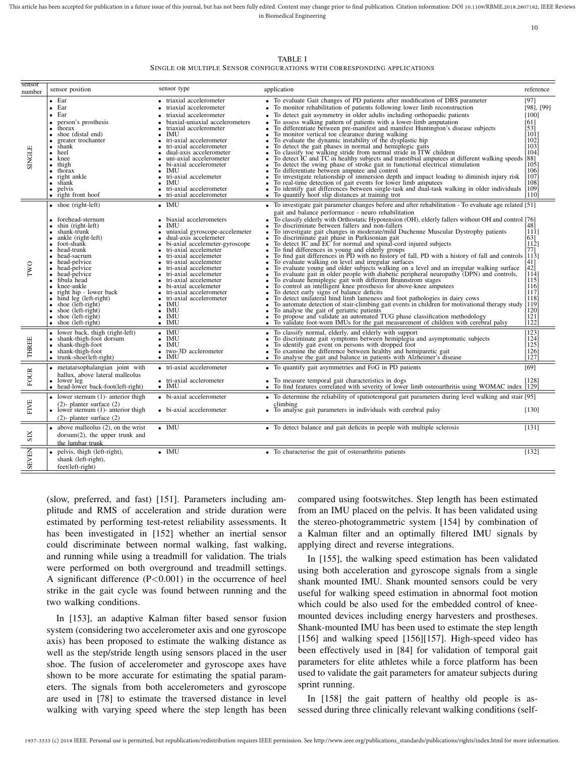TABLE I SINGLE OR MULTIPLE SENSOR CONFIGURATIONS WITH CORRESPONDING APPLICATIONS

| sensor<br>number | sensor position                                                                                                                                                                                                                                                                                                                                                | sensor type                                                                                                                                                                                                                                                                                                                                                                                                                                                                                   | application                                                                                                                                                                                                                                                                                                                                                                                                                                                                                                                                                                                                                                                                                                                                                                                                                                                                                                                                                                                                                                                                                                                                                                                                                                                                                                                                                                                                                                                                                                                                                                                        | reference                                                                                                                                |
|------------------|----------------------------------------------------------------------------------------------------------------------------------------------------------------------------------------------------------------------------------------------------------------------------------------------------------------------------------------------------------------|-----------------------------------------------------------------------------------------------------------------------------------------------------------------------------------------------------------------------------------------------------------------------------------------------------------------------------------------------------------------------------------------------------------------------------------------------------------------------------------------------|----------------------------------------------------------------------------------------------------------------------------------------------------------------------------------------------------------------------------------------------------------------------------------------------------------------------------------------------------------------------------------------------------------------------------------------------------------------------------------------------------------------------------------------------------------------------------------------------------------------------------------------------------------------------------------------------------------------------------------------------------------------------------------------------------------------------------------------------------------------------------------------------------------------------------------------------------------------------------------------------------------------------------------------------------------------------------------------------------------------------------------------------------------------------------------------------------------------------------------------------------------------------------------------------------------------------------------------------------------------------------------------------------------------------------------------------------------------------------------------------------------------------------------------------------------------------------------------------------|------------------------------------------------------------------------------------------------------------------------------------------|
| <b>SINGLE</b>    | $\bullet$ Ear<br>Ear<br>$\bullet$<br>Ear<br>person's prosthesis<br>thorax<br>$\bullet$<br>shoe (distal end)<br>greater trochanter<br>$\bullet$<br>shank<br>heel<br>knee<br>thigh<br>thorax<br>right ankle<br>shank<br>pelvis<br>$\bullet$<br>• right front hoof                                                                                                | triaxial accelerometer<br>triaxial accelerometer<br>triaxial accelerometer<br>biaxial-uniaxial accelerometers<br>triaxial accelerometer<br>IMU<br>tri-axial accelerometer<br>tri-axial accelerometer<br>dual-axis accelerometer<br>uni-axial accelerometer<br>bi-axial accelerometer<br>IMU<br>tri-axial accelemeter<br>IMU<br>tri-axial accelerometer<br>$\bullet$<br>tri-axial accelerometer<br>$\bullet$                                                                                   | • To evaluate Gait changes of PD patients after modification of DBS parameter<br>To monitor rehabilitation of patients following lower limb reconstruction<br>$\bullet$<br>To detect gait asymmetry in older adults including orthopaedic patients<br>$\bullet$<br>To assess walking pattern of patients with a lower-limb amputation<br>To differentiate between pre-manifest and manifest Huntington's disease subjects<br>$\bullet$<br>To monitor vertical toe clearance during walking<br>To evaluate the dynamic instability of the dysplastic hip<br>To detect the gait phases in normal and hemiplegic gaits<br>$\bullet$<br>To classify toe walking stride from normal stride in ITW children<br>To detect IC and TC in healthy subjects and transtibial amputees at different walking speeds [88]<br>To detect the swing phase of stroke gait in functional electrical stimulation<br>To differentiate between amputee and control<br>To investigate relationship of immersion depth and impact loading to diminish injury risk<br>To real-time detection of gait events for lower limb amputees<br>To identify gait differences between single-task and dual-task walking in older individuals<br>$\bullet$<br>To quantify hoof slip distances at training trot<br>$\bullet$                                                                                                                                                                                                                                                                                                             | [97]<br>[98], [99]<br>[100]<br>[61]<br>Ī53Ī<br>[101]<br>[102]<br>Ī 103Ī<br>104<br>1051<br>106<br>[107]<br>[108]<br><b>[109]</b><br>Ī110Ī |
| <b>E</b>         | shoe (right-left)<br>forehead-sternum<br>shin (right-left)<br>shank-trunk<br>ankle (right-left)<br>foot-shank<br>head-trunk<br>head-sacrum<br>head-pelvice<br>head-pelvice<br>head-pelvice<br>fibula head<br>knee-ankle<br>right hip - lower back<br>hind leg (left-right)<br>shoe (left-right)<br>shoe (left-right)<br>shoe (left-right)<br>shoe (left-right) | <b>IMU</b><br>$\bullet$<br>biaxial accelerometers<br>$\bullet$<br>IMU<br>uniaxial gyroscope-accelemeter<br>dual-axis accelemeter<br>bi-axial accelemeter-gyroscope<br>tri-axial accelemeter<br>tri-axial accelemeter<br>tri-axial accelemeter<br>tri-axial accelemeter<br>tri-axial accelemeter<br>tri-axial accelemeter<br>bi-axial accelemeter<br>tri-axial accelerometer<br>tri-axial accelerometer<br>$\bullet$<br>IMU<br>$\bullet$<br>IMU<br><b>IMU</b><br>$\bullet$<br>IMU<br>$\bullet$ | To investigate gait parameter changes before and after rehabilitation - To evaluate age related [51]<br>$\bullet$<br>gait and balance performance - neuro rehabilitation<br>To classify elderly with Orthostatic Hypotension (OH), elderly fallers without OH and control [76]<br>To discriminate between fallers and non-fallers<br>To investigate gait changes in moderate/mild Duchenne Muscular Dystrophy patients<br>To discriminate gait phase in Parkisonian gait<br>To detect IC and EC for normal and spinal-cord injured subjects<br>To find differences in young and elderly groups<br>To find gait differences in PD with no history of fall, PD with a history of fall and controls [113]<br>$\bullet$<br>$\bullet$<br>To evaluate walking on level and irregular surfaces<br>$\bullet$<br>To evaluate young and older subjects walking on a level and an irregular walking surface<br>$\bullet$<br>To evaluate gait in older people with diabetic peripheral neuropathy (DPN) and controls,<br>To evaluate hemiplegic gait with different Brunnstrom stages<br>To control an intelligent knee prosthesis for above-knee amputees<br>To detect early signs of balance deficits<br>To detect unilateral hind limb lameness and foot pathologies in dairy cows<br>To automate detection of stair-climbing gait events in children for motivational therapy study<br>To analyse the gait of geriatric patients<br>To propose and validate an automated TUG phase classification methodology<br>To validate foot-worn IMUs for the gait measurement of children with cerebral palsy<br>To | [48]<br>1111<br>[63]<br>[112]<br>Ī41]<br>Ī42Ī<br>[114]<br>[115]<br>[116]<br>[117]<br>[118]<br><b>f</b> 119<br>120<br>-<br> 121<br> 122   |
| THREE            | lower back, thigh (right-left)<br>shank-thigh-foot dorsum<br>shank-thigh-foot<br>shank-thigh-foot<br>$\bullet$<br>trunk-shoe(left-right)<br>$\bullet$                                                                                                                                                                                                          | IMU<br>$\bullet$<br><b>IMU</b><br>$\bullet$<br><b>IMU</b><br>$\bullet$<br>two-3D acclerometer<br>$\bullet$<br><b>IMU</b><br>$\bullet$                                                                                                                                                                                                                                                                                                                                                         | To classify normal, elderly, and elderly with support<br>$\bullet$<br>To discriminate gait symptoms between hemiplegia and asymptomatic subjects<br>To identify gait event on persons with dropped foot<br>To examine the difference between healthy and hemiparetic gait<br>$\bullet$<br>To analyse the gait and balance in patients with Alzheimer's disease                                                                                                                                                                                                                                                                                                                                                                                                                                                                                                                                                                                                                                                                                                                                                                                                                                                                                                                                                                                                                                                                                                                                                                                                                                     | $\begin{array}{c} \boxed{123} \\ \boxed{124} \end{array}$<br>[125]<br>[126]<br>[127]                                                     |
| <b>FOUR</b>      | metatarsophalangian joint with<br>hallux, above lateral malleolus<br>lower leg<br>head-lower back-foot(left-right)                                                                                                                                                                                                                                             | • tri-axial accelerometer<br>• tri-axial acclerometer<br>$\bullet$ IMU                                                                                                                                                                                                                                                                                                                                                                                                                        | • To quantify gait asymmetries and FoG in PD patients<br>To measure temporal gait characteristics in dogs<br>$\bullet$<br>To find features correlated with severity of lower limb osteoarthritis using WOMAC index [129]                                                                                                                                                                                                                                                                                                                                                                                                                                                                                                                                                                                                                                                                                                                                                                                                                                                                                                                                                                                                                                                                                                                                                                                                                                                                                                                                                                           | [69]<br>[128]                                                                                                                            |
| <b>HVE</b>       | lower sternum (1)- anterior thigh<br>$\bullet$<br>$(2)$ - planter surface $(2)$<br>lower sternum $(1)$ - anterior thigh<br>$(2)$ - planter surface $(2)$                                                                                                                                                                                                       | • bi-axial accelerometer<br>• bi-axial accelerometer                                                                                                                                                                                                                                                                                                                                                                                                                                          | • To determine the reliability of spatiotemporal gait parameters during level walking and stair [95]<br>climbing<br>• To analyse gait parameters in individuals with cerebral palsy                                                                                                                                                                                                                                                                                                                                                                                                                                                                                                                                                                                                                                                                                                                                                                                                                                                                                                                                                                                                                                                                                                                                                                                                                                                                                                                                                                                                                | [130]                                                                                                                                    |
| $_{\rm SIX}$     | above malleolus (2), on the wrist<br>$dorsum(2)$ , the upper trunk and<br>the lumbar trunk                                                                                                                                                                                                                                                                     | $\bullet$ IMU                                                                                                                                                                                                                                                                                                                                                                                                                                                                                 | • To detect balance and gait deficits in people with multiple sclerosis                                                                                                                                                                                                                                                                                                                                                                                                                                                                                                                                                                                                                                                                                                                                                                                                                                                                                                                                                                                                                                                                                                                                                                                                                                                                                                                                                                                                                                                                                                                            | [131]                                                                                                                                    |
| <b>SEVEN</b>     | pelvis, thigh (left-right),<br>shank (left-right),<br>feet(left-right)                                                                                                                                                                                                                                                                                         | $\bullet$ IMU                                                                                                                                                                                                                                                                                                                                                                                                                                                                                 | • To characterise the gait of osteoarthritis patients                                                                                                                                                                                                                                                                                                                                                                                                                                                                                                                                                                                                                                                                                                                                                                                                                                                                                                                                                                                                                                                                                                                                                                                                                                                                                                                                                                                                                                                                                                                                              | [132]                                                                                                                                    |

(slow, preferred, and fast) [151]. Parameters including amplitude and RMS of acceleration and stride duration were estimated by performing test-retest reliability assessments. It has been investigated in [152] whether an inertial sensor could discriminate between normal walking, fast walking, and running while using a treadmill for validation. The trials were performed on both overground and treadmill settings. A significant difference  $(P<0.001)$  in the occurrence of heel strike in the gait cycle was found between running and the two walking conditions.

In [153], an adaptive Kalman filter based sensor fusion system (considering two accelerometer axis and one gyroscope axis) has been proposed to estimate the walking distance as well as the step/stride length using sensors placed in the user shoe. The fusion of accelerometer and gyroscope axes have shown to be more accurate for estimating the spatial parameters. The signals from both accelerometers and gyroscope are used in [78] to estimate the traversed distance in level walking with varying speed where the step length has been compared using footswitches. Step length has been estimated from an IMU placed on the pelvis. It has been validated using the stereo-photogrammetric system [154] by combination of a Kalman filter and an optimally filtered IMU signals by applying direct and reverse integrations.

In [155], the walking speed estimation has been validated using both acceleration and gyroscope signals from a single shank mounted IMU. Shank mounted sensors could be very useful for walking speed estimation in abnormal foot motion which could be also used for the embedded control of kneemounted devices including energy harvesters and prostheses. Shank-mounted IMU has been used to estimate the step length [156] and walking speed [156][157]. High-speed video has been effectively used in [84] for validation of temporal gait parameters for elite athletes while a force platform has been used to validate the gait parameters for amateur subjects during sprint running.

In [158] the gait pattern of healthy old people is assessed during three clinically relevant walking conditions (self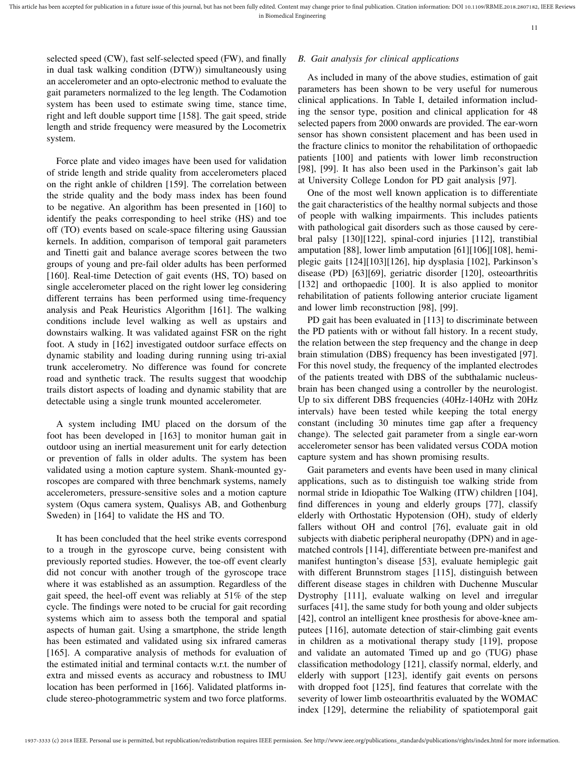selected speed (CW), fast self-selected speed (FW), and finally in dual task walking condition (DTW)) simultaneously using an accelerometer and an opto-electronic method to evaluate the gait parameters normalized to the leg length. The Codamotion system has been used to estimate swing time, stance time, right and left double support time [158]. The gait speed, stride length and stride frequency were measured by the Locometrix system.

Force plate and video images have been used for validation of stride length and stride quality from accelerometers placed on the right ankle of children [159]. The correlation between the stride quality and the body mass index has been found to be negative. An algorithm has been presented in [160] to identify the peaks corresponding to heel strike (HS) and toe off (TO) events based on scale-space filtering using Gaussian kernels. In addition, comparison of temporal gait parameters and Tinetti gait and balance average scores between the two groups of young and pre-fail older adults has been performed [160]. Real-time Detection of gait events (HS, TO) based on single accelerometer placed on the right lower leg considering different terrains has been performed using time-frequency analysis and Peak Heuristics Algorithm [161]. The walking conditions include level walking as well as upstairs and downstairs walking. It was validated against FSR on the right foot. A study in [162] investigated outdoor surface effects on dynamic stability and loading during running using tri-axial trunk accelerometry. No difference was found for concrete road and synthetic track. The results suggest that woodchip trails distort aspects of loading and dynamic stability that are detectable using a single trunk mounted accelerometer.

A system including IMU placed on the dorsum of the foot has been developed in [163] to monitor human gait in outdoor using an inertial measurement unit for early detection or prevention of falls in older adults. The system has been validated using a motion capture system. Shank-mounted gyroscopes are compared with three benchmark systems, namely accelerometers, pressure-sensitive soles and a motion capture system (Oqus camera system, Qualisys AB, and Gothenburg Sweden) in [164] to validate the HS and TO.

It has been concluded that the heel strike events correspond to a trough in the gyroscope curve, being consistent with previously reported studies. However, the toe-off event clearly did not concur with another trough of the gyroscope trace where it was established as an assumption. Regardless of the gait speed, the heel-off event was reliably at 51% of the step cycle. The findings were noted to be crucial for gait recording systems which aim to assess both the temporal and spatial aspects of human gait. Using a smartphone, the stride length has been estimated and validated using six infrared cameras [165]. A comparative analysis of methods for evaluation of the estimated initial and terminal contacts w.r.t. the number of extra and missed events as accuracy and robustness to IMU location has been performed in [166]. Validated platforms include stereo-photogrammetric system and two force platforms.

# *B. Gait analysis for clinical applications*

As included in many of the above studies, estimation of gait parameters has been shown to be very useful for numerous clinical applications. In Table I, detailed information including the sensor type, position and clinical application for 48 selected papers from 2000 onwards are provided. The ear-worn sensor has shown consistent placement and has been used in the fracture clinics to monitor the rehabilitation of orthopaedic patients [100] and patients with lower limb reconstruction [98], [99]. It has also been used in the Parkinson's gait lab at University College London for PD gait analysis [97].

One of the most well known application is to differentiate the gait characteristics of the healthy normal subjects and those of people with walking impairments. This includes patients with pathological gait disorders such as those caused by cerebral palsy [130][122], spinal-cord injuries [112], transtibial amputation [88], lower limb amputation [61][106][108], hemiplegic gaits [124][103][126], hip dysplasia [102], Parkinson's disease (PD) [63][69], geriatric disorder [120], osteoarthritis [132] and orthopaedic [100]. It is also applied to monitor rehabilitation of patients following anterior cruciate ligament and lower limb reconstruction [98], [99].

PD gait has been evaluated in [113] to discriminate between the PD patients with or without fall history. In a recent study, the relation between the step frequency and the change in deep brain stimulation (DBS) frequency has been investigated [97]. For this novel study, the frequency of the implanted electrodes of the patients treated with DBS of the subthalamic nucleusbrain has been changed using a controller by the neurologist. Up to six different DBS frequencies (40Hz-140Hz with 20Hz intervals) have been tested while keeping the total energy constant (including 30 minutes time gap after a frequency change). The selected gait parameter from a single ear-worn accelerometer sensor has been validated versus CODA motion capture system and has shown promising results.

Gait parameters and events have been used in many clinical applications, such as to distinguish toe walking stride from normal stride in Idiopathic Toe Walking (ITW) children [104], find differences in young and elderly groups [77], classify elderly with Orthostatic Hypotension (OH), study of elderly fallers without OH and control [76], evaluate gait in old subjects with diabetic peripheral neuropathy (DPN) and in agematched controls [114], differentiate between pre-manifest and manifest huntington's disease [53], evaluate hemiplegic gait with different Brunnstrom stages [115], distinguish between different disease stages in children with Duchenne Muscular Dystrophy [111], evaluate walking on level and irregular surfaces [41], the same study for both young and older subjects [42], control an intelligent knee prosthesis for above-knee amputees [116], automate detection of stair-climbing gait events in children as a motivational therapy study [119], propose and validate an automated Timed up and go (TUG) phase classification methodology [121], classify normal, elderly, and elderly with support [123], identify gait events on persons with dropped foot [125], find features that correlate with the severity of lower limb osteoarthritis evaluated by the WOMAC index [129], determine the reliability of spatiotemporal gait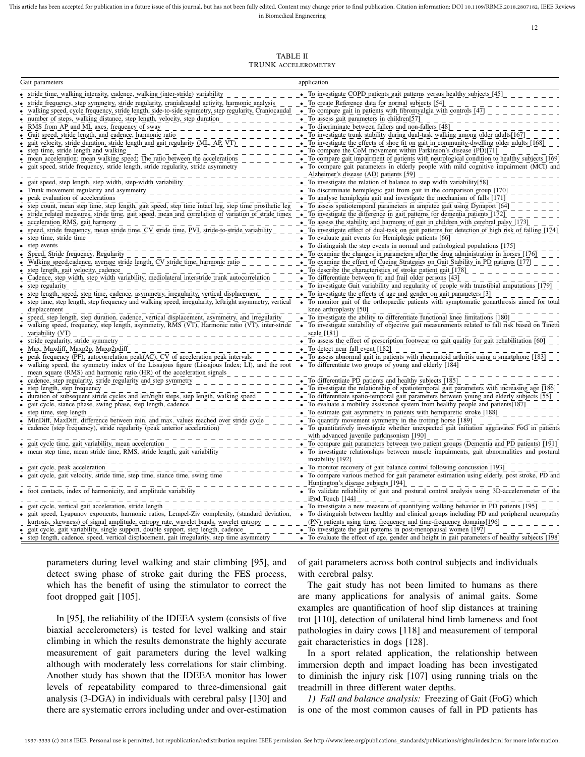This article has been accepted for publication in a future issue of this journal, but has not been fully edited. Content may change prior to final publication. Citation information: DOI 10.1109/RBME.2018.2807182, IEEE Revi in Biomedical Engineering

TABLE II TRUNK ACCELEROMETRY

| Gait parameters                                                                                       | application                                                                                           |  |
|-------------------------------------------------------------------------------------------------------|-------------------------------------------------------------------------------------------------------|--|
| stride time, walking intensity, cadence, walking (inter-stride) variability                           | • To investigate COPD patients gait patterns versus healthy subjects [45]                             |  |
| stride frequency, step symmetry, stride regularity, cranialcaudal activity, harmonic analysis         | • To create Reference data for normal subjects [54]                                                   |  |
| walking speed, cycle frequency, stride length, side-to-side symmetry, step regularity, Craniocaudal   | • To compare gait in patients with fibromyalgia with controls [47]                                    |  |
| number of steps, walking distance, step length, velocity, step duration                               | To assess gait parameters in children[57]                                                             |  |
| RMS from AP and ML axes, frequency of sway                                                            | To discriminate between fallers and non-fallers [48]                                                  |  |
| Gait speed, stride length, and cadence, harmonic ratio                                                | • To investigate trunk stability during dual-task walking among older adults[167]                     |  |
| gait velocity, stride duration, stride length and gait regularity (ML, AP, VT)                        | • To investigate the effects of shoe fit on gait in community-dwelling older adults [168]             |  |
| step time, stride length and walking                                                                  | To compare the CoM movement within Parkinson's disease (PD)[71]                                       |  |
| mean acceleration; mean walking speed; The ratio between the accelerations                            | To compare gait impairment of patients with neurological condition to healthy subjects [169]          |  |
| gait speed, stride frequency, stride length, stride regularity, stride asymmetry                      | • To compare gait parameters in elderly people with mild cognitive impairment (MCI) and               |  |
|                                                                                                       | Alzheimer's disease (AD) patients [59]                                                                |  |
| gait speed, step length, step width, step-width variability                                           | To investigate the relation of balance to step width variability[58]                                  |  |
| Trunk movement regularity and asymmetry                                                               | • To discriminate hemiplegic gait from gait in the comparison group [170]                             |  |
| peak evaluation of accelerations                                                                      | • To analyse hemiplegia gait and investigate the mechanism of falls [171]                             |  |
| step count, mean step time, step length, gait speed, step time intact leg, step time prosthetic leg   | • To assess spatiotemporal parameters in amputee gait using Dynaport [64]                             |  |
| stride related measures, stride time, gait speed, mean and correlation of variation of stride times   | To investigate the difference in gait patterns for dementia patients [172]                            |  |
| acceleration RMS, gait harmony                                                                        | To assess the stability and harmony of gait in children with cerebral palsy [173]                     |  |
| speed, stride frequency, mean stride time, CV stride time, PVI, stride-to-stride variability          | To investigate effect of dual-task on gait patterns for detection of high risk of falling [174]       |  |
| step time, stride time                                                                                | To evaluate gait events for Hemiplegic patients [66]                                                  |  |
| step events                                                                                           | • To distinguish the step events in normal and pathological populations [175]                         |  |
| Speed, Stride frequency, Regularity                                                                   | • To examine the changes in parameters after the drug administration in horses [176]                  |  |
| Walking speed, cadence, average stride length, CV stride time, harmonic ratio                         | To examine the effect of Cueing Strategies on Gait Stability in PD patients [177]                     |  |
| step length, gait velocity, cadence                                                                   | • To describe the characteristics of stroke patient gait [178]                                        |  |
| Cadence, step width, step width variability, mediolateral interstride trunk autocorrelation           | To differentiate between fit and frail older persons [43]                                             |  |
| step regularity                                                                                       | To investigate Gait variability and regularity of people with transtibial amputations [179]           |  |
| step length, speed, step time, cadence, asymmetry, irregularity, vertical displacement                | • To investigate the effects of age and gender on gait parameters [3]                                 |  |
| step time, step length, step frequency and walking speed, irregularity, leftright asymmetry, vertical | • To monitor gait of the orthopaedic patients with symptomatic gonarthrosis aimed for tota            |  |
| displacement                                                                                          | knee arthroplasty [50]                                                                                |  |
| speed, step length, step duration, cadence, vertical displacement, asymmetry, and irregularity        | To investigate the ability to differentiate functional knee limitations [180]                         |  |
| walking speed, frequency, step length, asymmetry, RMS (VT), Harmonic ratio (VT), inter-stride         | • To investigate suitability of objective gait measurements related to fall risk based on Tinett      |  |
| variability (VT)                                                                                      | scale [181]                                                                                           |  |
| stride regularity, stride symmetry                                                                    | To assess the effect of prescription footwear on gait quality for gait rehabilitation [60]            |  |
| Max, Maxdiff, Maxp2p, Maxp2pdiff                                                                      | To detect near fall event [182]                                                                       |  |
| $\bullet$ peak frequency (PF), autocorrelation peak(AC), CV of acceleration peak intervals            | · To assess abnormal gait in patients with rheumatoid arthritis using a smartphone [183]              |  |
| walking speed, the symmetry index of the Lissajous figure (Lissajous Index; LI), and the root         | • To differentiate two groups of young and elderly [184]                                              |  |
| mean square (RMS) and harmonic ratio (HR) of the acceleration signals                                 |                                                                                                       |  |
| cadence, step regularity, stride regularity and step symmetry                                         | To differentiate PD patients and healthy subjects [185]                                               |  |
| step length, step frequency                                                                           | • To investigate the relationship of spatiotemporal gait parameters with increasing age [186]         |  |
| duration of subsequent stride cycles and left/right steps, step length, walking speed                 | To differentiate spatio-temporal gait parameters between young and elderly subjects [55]              |  |
| gait cycle, stance phase, swing phase, step length, cadence                                           | To evaluate a mobility assistance system from healthy people and patients[187]                        |  |
| step time, step length                                                                                | • To estimate gait asymmetry in patients with hemiparetic stroke [188]                                |  |
| • MinDiff, MaxDiff, difference between min. and max. values reached over stride cycle                 | • To quantify movement symmetry in the trotting horse [189]                                           |  |
| cadence (step frequency), stride regularity (peak anterior acceleration)                              | To quantitatively investigate whether unexpected gait initiation aggravates FoG in patients           |  |
|                                                                                                       | with advanced juvenile parkinsonism [190]                                                             |  |
| gait cycle time, gait variability, mean acceleration                                                  | To compare gait parameters between two patient groups (Dementia and PD patients) [191]                |  |
| mean step time, mean stride time, RMS, stride length, gait variability                                | • To investigate relationships between muscle impairments, gait abnormalities and postural            |  |
|                                                                                                       | instability [192]                                                                                     |  |
| · gait cycle, peak acceleration                                                                       | To monitor recovery of gait balance control following concussion [193]                                |  |
| gait cycle, gait velocity, stride time, step time, stance time, swing time                            | • To compare various method for gait parameter estimation using elderly, post stroke, PD and          |  |
|                                                                                                       | Huntington's disease subjects [194]                                                                   |  |
| foot contacts, index of harmonicity, and amplitude variability                                        | To validate reliability of gait and postural control analysis using 3D-accelerometer of the           |  |
| gait cycle, vertical gait acceleration, stride length                                                 | iPod Touch [144]<br>To investigate a new measure of quantifying walking behavior in PD patients [195] |  |
| gait speed, Lyapunov exponents, harmonic ratios, Lempel-Ziv complexity, (standard deviation,          | • To distinguish between healthy and clinical groups including PD and peripheral neuropathy           |  |
| kurtosis, skewness) of signal amplitude, entropy rate, wavelet bands, wavelet entropy                 | (PN) patients using time, frequency and time-frequency domains[196]                                   |  |
| gait cycle, gait variability, single support, double support, step length, cadence                    | To investigate the gait patterns in post-menopausal women [197]                                       |  |
| step length, cadence, speed, vertical displacement, gait irregularity, step time asymmetry            | To evaluate the effect of age, gender and height in gait parameters of healthy subjects [198]         |  |
|                                                                                                       |                                                                                                       |  |

parameters during level walking and stair climbing [95], and detect swing phase of stroke gait during the FES process, which has the benefit of using the stimulator to correct the foot dropped gait [105].

In [95], the reliability of the IDEEA system (consists of five biaxial accelerometers) is tested for level walking and stair climbing in which the results demonstrate the highly accurate measurement of gait parameters during the level walking although with moderately less correlations for stair climbing. Another study has shown that the IDEEA monitor has lower levels of repeatability compared to three-dimensional gait analysis (3-DGA) in individuals with cerebral palsy [130] and there are systematic errors including under and over-estimation

of gait parameters across both control subjects and individuals with cerebral palsy.

The gait study has not been limited to humans as there are many applications for analysis of animal gaits. Some examples are quantification of hoof slip distances at training trot [110], detection of unilateral hind limb lameness and foot pathologies in dairy cows [118] and measurement of temporal gait characteristics in dogs [128].

In a sport related application, the relationship between immersion depth and impact loading has been investigated to diminish the injury risk [107] using running trials on the treadmill in three different water depths.

*1) Fall and balance analysis:* Freezing of Gait (FoG) which is one of the most common causes of fall in PD patients has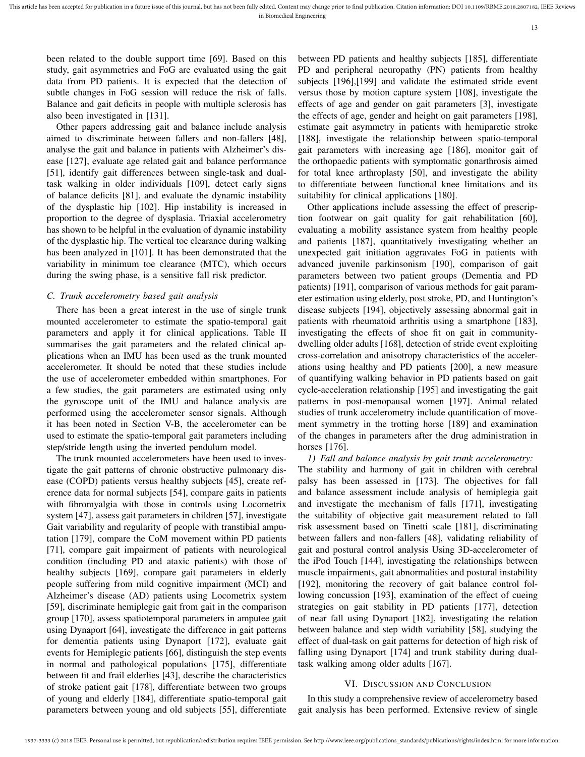been related to the double support time [69]. Based on this study, gait asymmetries and FoG are evaluated using the gait data from PD patients. It is expected that the detection of subtle changes in FoG session will reduce the risk of falls. Balance and gait deficits in people with multiple sclerosis has also been investigated in [131].

Other papers addressing gait and balance include analysis aimed to discriminate between fallers and non-fallers [48], analyse the gait and balance in patients with Alzheimer's disease [127], evaluate age related gait and balance performance [51], identify gait differences between single-task and dualtask walking in older individuals [109], detect early signs of balance deficits [81], and evaluate the dynamic instability of the dysplastic hip [102]. Hip instability is increased in proportion to the degree of dysplasia. Triaxial accelerometry has shown to be helpful in the evaluation of dynamic instability of the dysplastic hip. The vertical toe clearance during walking has been analyzed in [101]. It has been demonstrated that the variability in minimum toe clearance (MTC), which occurs during the swing phase, is a sensitive fall risk predictor.

# *C. Trunk accelerometry based gait analysis*

There has been a great interest in the use of single trunk mounted accelerometer to estimate the spatio-temporal gait parameters and apply it for clinical applications. Table II summarises the gait parameters and the related clinical applications when an IMU has been used as the trunk mounted accelerometer. It should be noted that these studies include the use of accelerometer embedded within smartphones. For a few studies, the gait parameters are estimated using only the gyroscope unit of the IMU and balance analysis are performed using the accelerometer sensor signals. Although it has been noted in Section V-B, the accelerometer can be used to estimate the spatio-temporal gait parameters including step/stride length using the inverted pendulum model.

The trunk mounted accelerometers have been used to investigate the gait patterns of chronic obstructive pulmonary disease (COPD) patients versus healthy subjects [45], create reference data for normal subjects [54], compare gaits in patients with fibromyalgia with those in controls using Locometrix system [47], assess gait parameters in children [57], investigate Gait variability and regularity of people with transtibial amputation [179], compare the CoM movement within PD patients [71], compare gait impairment of patients with neurological condition (including PD and ataxic patients) with those of healthy subjects [169], compare gait parameters in elderly people suffering from mild cognitive impairment (MCI) and Alzheimer's disease (AD) patients using Locometrix system [59], discriminate hemiplegic gait from gait in the comparison group [170], assess spatiotemporal parameters in amputee gait using Dynaport [64], investigate the difference in gait patterns for dementia patients using Dynaport [172], evaluate gait events for Hemiplegic patients [66], distinguish the step events in normal and pathological populations [175], differentiate between fit and frail elderlies [43], describe the characteristics of stroke patient gait [178], differentiate between two groups of young and elderly [184], differentiate spatio-temporal gait parameters between young and old subjects [55], differentiate

between PD patients and healthy subjects [185], differentiate PD and peripheral neuropathy (PN) patients from healthy subjects [196],[199] and validate the estimated stride event versus those by motion capture system [108], investigate the effects of age and gender on gait parameters [3], investigate the effects of age, gender and height on gait parameters [198], estimate gait asymmetry in patients with hemiparetic stroke [188], investigate the relationship between spatio-temporal gait parameters with increasing age [186], monitor gait of the orthopaedic patients with symptomatic gonarthrosis aimed for total knee arthroplasty [50], and investigate the ability to differentiate between functional knee limitations and its suitability for clinical applications [180].

Other applications include assessing the effect of prescription footwear on gait quality for gait rehabilitation [60], evaluating a mobility assistance system from healthy people and patients [187], quantitatively investigating whether an unexpected gait initiation aggravates FoG in patients with advanced juvenile parkinsonism [190], comparison of gait parameters between two patient groups (Dementia and PD patients) [191], comparison of various methods for gait parameter estimation using elderly, post stroke, PD, and Huntington's disease subjects [194], objectively assessing abnormal gait in patients with rheumatoid arthritis using a smartphone [183], investigating the effects of shoe fit on gait in communitydwelling older adults [168], detection of stride event exploiting cross-correlation and anisotropy characteristics of the accelerations using healthy and PD patients [200], a new measure of quantifying walking behavior in PD patients based on gait cycle-acceleration relationship [195] and investigating the gait patterns in post-menopausal women [197]. Animal related studies of trunk accelerometry include quantification of movement symmetry in the trotting horse [189] and examination of the changes in parameters after the drug administration in horses [176].

*1) Fall and balance analysis by gait trunk accelerometry:* The stability and harmony of gait in children with cerebral palsy has been assessed in [173]. The objectives for fall and balance assessment include analysis of hemiplegia gait and investigate the mechanism of falls [171], investigating the suitability of objective gait measurement related to fall risk assessment based on Tinetti scale [181], discriminating between fallers and non-fallers [48], validating reliability of gait and postural control analysis Using 3D-accelerometer of the iPod Touch [144], investigating the relationships between muscle impairments, gait abnormalities and postural instability [192], monitoring the recovery of gait balance control following concussion [193], examination of the effect of cueing strategies on gait stability in PD patients [177], detection of near fall using Dynaport [182], investigating the relation between balance and step width variability [58], studying the effect of dual-task on gait patterns for detection of high risk of falling using Dynaport [174] and trunk stability during dualtask walking among older adults [167].

# VI. DISCUSSION AND CONCLUSION

In this study a comprehensive review of accelerometry based gait analysis has been performed. Extensive review of single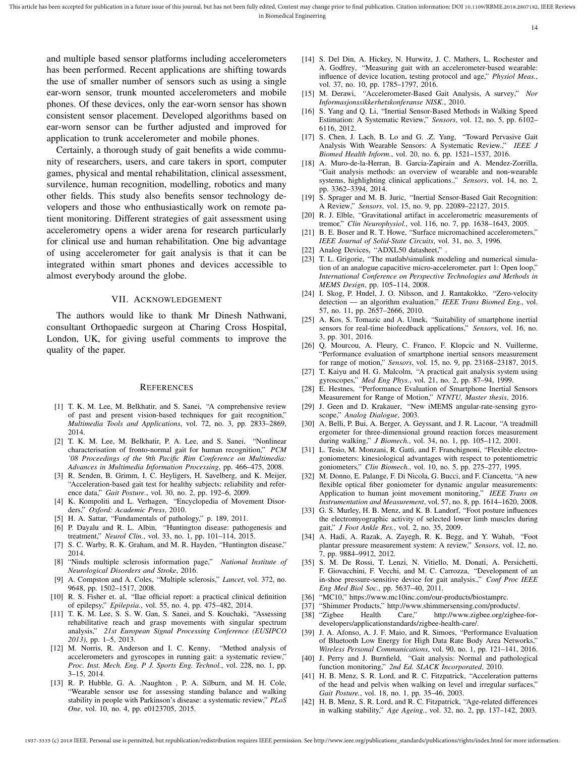and multiple based sensor platforms including accelerometers has been performed. Recent applications are shifting towards the use of smaller number of sensors such as using a single ear-worn sensor, trunk mounted accelerometers and mobile phones. Of these devices, only the ear-worn sensor has shown consistent sensor placement. Developed algorithms based on ear-worn sensor can be further adjusted and improved for application to trunk accelerometer and mobile phones.

Certainly, a thorough study of gait benefits a wide community of researchers, users, and care takers in sport, computer games, physical and mental rehabilitation, clinical assessment, survilence, human recognition, modelling, robotics and many other fields. This study also benefits sensor technology developers and those who enthusiastically work on remote patient monitoring. Different strategies of gait assessment using accelerometry opens a wider arena for research particularly for clinical use and human rehabilitation. One big advantage of using accelerometer for gait analysis is that it can be integrated within smart phones and devices accessible to almost everybody around the globe.

# VII. ACKNOWLEDGEMENT

The authors would like to thank Mr Dinesh Nathwani, consultant Orthopaedic surgeon at Charing Cross Hospital, London, UK, for giving useful comments to improve the quality of the paper.

#### **REFERENCES**

- [1] T. K. M. Lee, M. Belkhatir, and S. Sanei, "A comprehensive review of past and present vision-based techniques for gait recognition," *Multimedia Tools and Applications*, vol. 72, no. 3, pp. 2833–2869, 2014.
- [2] T. K. M. Lee, M. Belkhatir, P. A. Lee, and S. Sanei, "Nonlinear characterisation of fronto-normal gait for human recognition," *PCM '08 Proceedings of the 9th Pacific Rim Conference on Multimedia: Advances in Multimedia Information Processing*, pp. 466–475, 2008.
- [3] R. Senden, B. Grimm, I. C. Heyligers, H. Savelberg, and K. Meijer, "Acceleration-based gait test for healthy subjects: reliability and reference data," *Gait Posture.*, vol. 30, no. 2, pp. 192–6, 2009.
- [4] K. Kompoliti and L. Verhagen, "Encyclopedia of Movement Disorders," *Oxford: Academic Press*, 2010.
- [5] H. A. Sattar, "Fundamentals of pathology," p. 189, 2011.
- [6] P. Dayalu and R. L. Albin, "Huntington disease: pathogenesis and treatment," *Neurol Clin.*, vol. 33, no. 1, pp. 101–114, 2015.
- [7] S. C. Warby, R. K. Graham, and M. R. Hayden, "Huntington disease," 2014.
- [8] "Ninds multiple sclerosis information page," *National Institute of Neurological Disorders and Stroke*, 2016.
- [9] A. Compston and A. Coles, "Multiple sclerosis," *Lancet*, vol. 372, no. 9648, pp. 1502–1517, 2008.
- [10] R. S. Fisher et. al, "Ilae official report: a practical clinical definition of epilepsy," *Epilepsia.*, vol. 55, no. 4, pp. 475–482, 2014.
- [11] T. K. M. Lee, S. S. W. Gan, S. Sanei, and S. Kouchaki, "Assessing rehabilitative reach and grasp movements with singular spectrum analysis," *21st European Signal Processing Conference (EUSIPCO 2013)*, pp. 1–5, 2013.
- [12] M. Norris, R. Anderson and I. C. Kenny, "Method analysis of accelerometers and gyroscopes in running gait: a systematic review," *Proc. Inst. Mech. Eng. P J. Sports Eng. Technol.*, vol. 228, no. 1, pp. 3–15, 2014.
- [13] R. P. Hubble, G. A. .Naughton , P. A. Silburn, and M. H. Cole, "Wearable sensor use for assessing standing balance and walking stability in people with Parkinson's disease: a systematic review," *PLoS One*, vol. 10, no. 4, pp. e0123705, 2015.
- [14] S. Del Din, A. Hickey, N. Hurwitz, J. C. Mathers, L. Rochester and A. Godfrey, "Measuring gait with an accelerometer-based wearable: influence of device location, testing protocol and age," *Physiol Meas.*, vol. 37, no. 10, pp. 1785–1797, 2016.
- [15] M. Derawi, "Accelerometer-Based Gait Analysis, A survey," *Nor Informasjonssikkerhetskonferanse NISK.*, 2010.
- [16] S. Yang and Q. Li, "Inertial Sensor-Based Methods in Walking Speed Estimation: A Systematic Review," *Sensors*, vol. 12, no. 5, pp. 6102– 6116, 2012.
- [17] S. Chen, J. Lach, B. Lo and G. .Z. Yang, "Toward Pervasive Gait Analysis With Wearable Sensors: A Systematic Review.," *IEEE J Biomed Health Inform.*, vol. 20, no. 6, pp. 1521–1537, 2016.
- [18] A. Muro-de-la-Herran, B. Garcia-Zapirain and A. Mendez-Zorrilla, "Gait analysis methods: an overview of wearable and non-wearable systems, highlighting clinical applications.," *Sensors*, vol. 14, no. 2, pp. 3362–3394, 2014.
- [19] S. Sprager and M. B. Juric, "Inertial Sensor-Based Gait Recognition: A Review," *Sensors*, vol. 15, no. 9, pp. 22089–22127, 2015.
- [20] R. J. Elble, "Gravitational artifact in accelerometric measurements of tremor," *Clin Neurophysiol.*, vol. 116, no. 7, pp. 1638–1643, 2005.
- [21] B. E. Boser and R. T. Howe, "Surface micromachined accelerometers," *IEEE Journal of Solid-State Circuits*, vol. 31, no. 3, 1996.
- [22] Analog Devices, "ADXL50 datasheet,".
- [23] T. L. Grigorie, "The matlab/simulink modeling and numerical simulation of an analogue capacitive micro-accelerometer. part 1: Open loop," *International Conference on Perspective Technologies and Methods in MEMS Design*, pp. 105–114, 2008.
- [24] I. Skog, P. Hndel, J. O. Nilsson, and J. Rantakokko, "Zero-velocity detection — an algorithm evaluation," *IEEE Trans Biomed Eng.*, vol. 57, no. 11, pp. 2657–2666, 2010.
- [25] A. Kos, S. Tomazic and A. Umek, "Suitability of smartphone inertial sensors for real-time biofeedback applications," *Sensors*, vol. 16, no. 3, pp. 301, 2016.
- [26] Q. Mourcou, A. Fleury, C. Franco, F. Klopcic and N. Vuillerme, "Performance evaluation of smartphone inertial sensors measurement for range of motion," *Sensors*, vol. 15, no. 9, pp. 23168–23187, 2015.
- [27] T. Kaiyu and H. G. Malcolm, "A practical gait analysis system using gyroscopes," *Med Eng Phys.*, vol. 21, no. 2, pp. 87–94, 1999.
- [28] E. Hestnes, "Performance Evaluation of Smartphone Inertial Sensors Measurement for Range of Motion," *NTNTU, Master thesis*, 2016.
- [29] J. Geen and D. Krakauer, "New iMEMS angular-rate-sensing gyroscope," *Analog Dialogue*, 2003.
- [30] A. Belli, P. Bui, A. Berger, A. Geyssant, and J. R. Lacour, "A treadmill ergometer for three-dimensional ground reaction forces measurement during walking," *J Biomech.*, vol. 34, no. 1, pp. 105–112, 2001.
- [31] L. Tesio, M. Monzani, R. Gatti, and F. Franchignoni, "Flexible electrogoniometers: kinesiological advantages with respect to potentiometric goniometers," *Clin Biomech.*, vol. 10, no. 5, pp. 275–277, 1995.
- [32] M. Donno, E. Palange, F. Di Nicola, G. Bucci, and F. Ciancetta, "A new flexible optical fiber goniometer for dynamic angular measurements: Application to human joint movement monitoring," *IEEE Trans on Instrumentation and Measurement*, vol. 57, no. 8, pp. 1614–1620, 2008.
- [33] G. S. Murley, H. B. Menz, and K. B. Landorf, "Foot posture influences the electromyographic activity of selected lower limb muscles during gait," *J Foot Ankle Res.*, vol. 2, no. 35, 2009.
- [34] A. Hadi, A. Razak, A. Zayegh, R. K. Begg, and Y. Wahab, "Foot plantar pressure measurement system: A review," *Sensors*, vol. 12, no. 7, pp. 9884–9912, 2012.
- [35] S. M. De Rossi, T. Lenzi, N. Vitiello, M. Donati, A. Persichetti, F. Giovacchini, F. Vecchi, and M. C. Carrozza, "Development of an in-shoe pressure-sensitive device for gait analysis.," *Conf Proc IEEE Eng Med Biol Soc.*, pp. 5637–40, 2011.
- [36] "MC10," https://www.mc10inc.com/our-products/biostamprc.
- 
- [37] "Shimmer Products," http://www.shimmersensing.com/products/.<br>
[38] "Zigbee Health Care," http://www.zigbee.org/zigbe [38] "Zigbee Health Care," http://www.zigbee.org/zigbee-fordevelopers/applicationstandards/zigbee-health-care/.
- [39] J. A. Afonso, A. J. F. Maio, and R. Simoes, "Performance Evaluation of Bluetooth Low Energy for High Data Rate Body Area Networks," *Wireless Personal Communications*, vol. 90, no. 1, pp. 121–141, 2016.
- [40] J. Perry and J. Burnfield, "Gait analysis: Normal and pathological function monitoring," *2nd Ed. SLACK Incorporated*, 2010.
- [41] H. B. Menz, S. R. Lord, and R. C. Fitzpatrick, "Acceleration patterns of the head and pelvis when walking on level and irregular surfaces," *Gait Posture.*, vol. 18, no. 1, pp. 35–46, 2003.
- [42] H. B. Menz, S. R. Lord, and R. C. Fitzpatrick, "Age-related differences in walking stability," *Age Ageing.*, vol. 32, no. 2, pp. 137–142, 2003.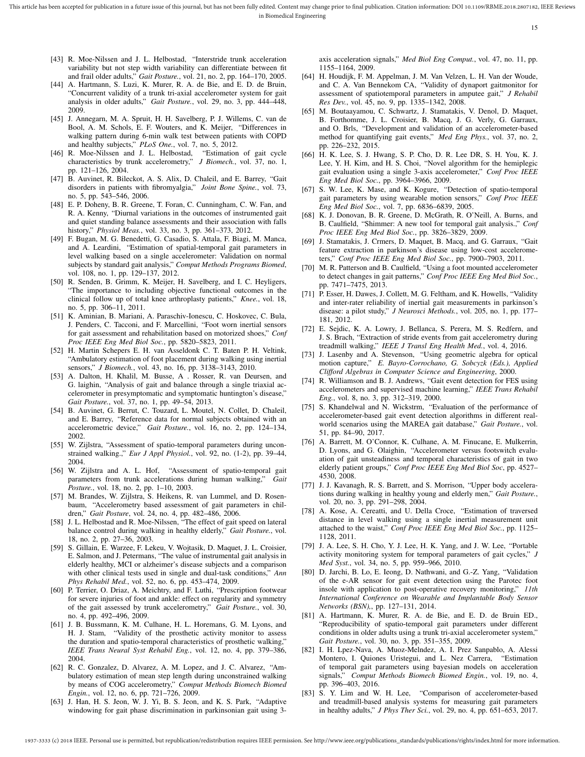- [43] R. Moe-Nilssen and J. L. Helbostad, "Interstride trunk acceleration variability but not step width variability can differentiate between fit and frail older adults," *Gait Posture.*, vol. 21, no. 2, pp. 164–170, 2005.
- [44] A. Hartmann, S. Luzi, K. Murer, R. A. de Bie, and E. D. de Bruin, "Concurrent validity of a trunk tri-axial accelerometer system for gait analysis in older adults," *Gait Posture.*, vol. 29, no. 3, pp. 444–448, 2009.
- [45] J. Annegarn, M. A. Spruit, H. H. Savelberg, P. J. Willems, C. van de Bool, A. M. Schols, E. F. Wouters, and K. Meijer, "Differences in walking pattern during 6-min walk test between patients with COPD and healthy subjects," *PLoS One.*, vol. 7, no. 5, 2012.
- [46] R. Moe-Nilssen and J. L. Helbostad, "Estimation of gait cycle characteristics by trunk accelerometry," *J Biomech.*, vol. 37, no. 1, pp. 121–126, 2004.
- [47] B. Auvinet, R. Bileckot, A. S. Alix, D. Chaleil, and E. Barrey, "Gait disorders in patients with fibromyalgia," *Joint Bone Spine.*, vol. 73, no. 5, pp. 543–546, 2006.
- [48] E. P. Doheny, B. R. Greene, T. Foran, C. Cunningham, C. W. Fan, and R. A. Kenny, "Diurnal variations in the outcomes of instrumented gait and quiet standing balance assessments and their association with falls history," *Physiol Meas.*, vol. 33, no. 3, pp. 361–373, 2012.
- [49] F. Bugan, M. G. Benedetti, G. Casadio, S. Attala, F. Biagi, M. Manca, and A. Leardini, "Estimation of spatial-temporal gait parameters in level walking based on a single accelerometer: Validation on normal subjects by standard gait analysis," *Comput Methods Programs Biomed*, vol. 108, no. 1, pp. 129–137, 2012.
- [50] R. Senden, B. Grimm, K. Meijer, H. Savelberg, and I. C. Heyligers, "The importance to including objective functional outcomes in the clinical follow up of total knee arthroplasty patients," *Knee.*, vol. 18, no. 5, pp. 306–11, 2011.
- [51] K. Aminian, B. Mariani, A. Paraschiv-Ionescu, C. Hoskovec, C. Bula, J. Penders, C. Tacconi, and F. Marcellini, "Foot worn inertial sensors for gait assessment and rehabilitation based on motorized shoes," *Conf Proc IEEE Eng Med Biol Soc.*, pp. 5820–5823, 2011.
- [52] H. Martin Schepers E. H. van Asseldonk C. T. Baten P. H. Veltink, "Ambulatory estimation of foot placement during walking using inertial sensors," *J Biomech.*, vol. 43, no. 16, pp. 3138–3143, 2010.
- [53] A. Dalton, H. Khalil, M. Busse, A . Rosser, R. van Deursen, and G. laighin, "Analysis of gait and balance through a single triaxial accelerometer in presymptomatic and symptomatic huntington's disease," *Gait Posture.*, vol. 37, no. 1, pp. 49–54, 2013.
- [54] B. Auvinet, G. Berrut, C. Touzard, L. Moutel, N. Collet, D. Chaleil, and E. Barrey, "Reference data for normal subjects obtained with an accelerometric device," *Gait Posture.*, vol. 16, no. 2, pp. 124–134, 2002.
- [55] W. Zijlstra, "Assessment of spatio-temporal parameters during unconstrained walking.," *Eur J Appl Physiol.*, vol. 92, no. (1-2), pp. 39–44, 2004.
- [56] W. Zijlstra and A. L. Hof, "Assessment of spatio-temporal gait parameters from trunk accelerations during human walking," *Gait Posture.*, vol. 18, no. 2, pp. 1–10, 2003.
- [57] M. Brandes, W. Zijlstra, S. Heikens, R. van Lummel, and D. Rosenbaum, "Accelerometry based assessment of gait parameters in children," *Gait Posture*, vol. 24, no. 4, pp. 482–486, 2006.
- [58] J. L. Helbostad and R. Moe-Nilssen, "The effect of gait speed on lateral balance control during walking in healthy elderly," *Gait Posture.*, vol. 18, no. 2, pp. 27–36, 2003.
- [59] S. Gillain, E. Warzee, F. Lekeu, V. Wojtasik, D. Maquet, J. L. Croisier, E. Salmon, and J. Petermans, "The value of instrumental gait analysis in elderly healthy, MCI or alzheimer's disease subjects and a comparison with other clinical tests used in single and dual-task conditions," *Ann Phys Rehabil Med.*, vol. 52, no. 6, pp. 453–474, 2009.
- [60] P. Terrier, O. Driaz, A. Meichtry, and F. Luthi, "Prescription footwear for severe injuries of foot and ankle: effect on regularity and symmetry of the gait assessed by trunk accelerometry," *Gait Posture.*, vol. 30, no. 4, pp. 492–496, 2009.
- [61] J. B. Bussmann, K. M. Culhane, H. L. Horemans, G. M. Lyons, and H. J. Stam, "Validity of the prosthetic activity monitor to assess the duration and spatio-temporal characteristics of prosthetic walking," *IEEE Trans Neural Syst Rehabil Eng.*, vol. 12, no. 4, pp. 379–386, 2004.
- [62] R. C. Gonzalez, D. Alvarez, A. M. Lopez, and J. C. Alvarez, "Ambulatory estimation of mean step length during unconstrained walking by means of COG accelerometry," *Comput Methods Biomech Biomed Engin.*, vol. 12, no. 6, pp. 721–726, 2009.
- [63] J. Han, H. S. Jeon, W. J. Yi, B. S. Jeon, and K. S. Park, "Adaptive windowing for gait phase discrimination in parkinsonian gait using 3-

axis acceleration signals," *Med Biol Eng Comput.*, vol. 47, no. 11, pp. 1155–1164, 2009.

15

- [64] H. Houdijk, F. M. Appelman, J. M. Van Velzen, L. H. Van der Woude, and C. A. Van Bennekom CA, "Validity of dynaport gaitmonitor for assessment of spatiotemporal parameters in amputee gait," *J Rehabil Res Dev.*, vol. 45, no. 9, pp. 1335–1342, 2008.
- [65] M. Boutaayamou, C. Schwartz, J. Stamatakis, V. Denol, D. Maquet, B. Forthomme, J. L. Croisier, B. Macq, J. G. Verly, G. Garraux, and O. Brls, "Development and validation of an accelerometer-based method for quantifying gait events," *Med Eng Phys.*, vol. 37, no. 2, pp. 226–232, 2015.
- [66] H. K. Lee, S. J. Hwang, S. P. Cho, D. R. Lee DR, S. H. You, K. J. Lee, Y. H. Kim, and H. S. Choi, "Novel algorithm for the hemiplegic gait evaluation using a single 3-axis accelerometer," *Conf Proc IEEE Eng Med Biol Soc.*, pp. 3964–3966, 2009.
- [67] S. W. Lee, K. Mase, and K. Kogure, "Detection of spatio-temporal gait parameters by using wearable motion sensors," *Conf Proc IEEE Eng Med Biol Soc.*, vol. 7, pp. 6836–6839, 2005.
- [68] K. J. Donovan, B. R. Greene, D. McGrath, R. O'Neill, A. Burns, and B. Caulfield, "Shimmer: A new tool for temporal gait analysis.," *Conf Proc IEEE Eng Med Biol Soc.*, pp. 3826–3829, 2009.
- [69] J. Stamatakis, J. Crmers, D. Maquet, B. Macq, and G. Garraux, "Gait feature extraction in parkinson's disease using low-cost accelerometers," *Conf Proc IEEE Eng Med Biol Soc.*, pp. 7900–7903, 2011.
- [70] M. R. Patterson and B. Caulfield, "Using a foot mounted accelerometer to detect changes in gait patterns," *Conf Proc IEEE Eng Med Biol Soc.*, pp. 7471–7475, 2013.
- [71] P. Esser, H. Dawes, J. Collett, M. G. Feltham, and K. Howells, "Validity and inter-rater reliability of inertial gait measurements in parkinson's disease: a pilot study," *J Neurosci Methods.*, vol. 205, no. 1, pp. 177– 181, 2012.
- [72] E. Sejdic, K. A. Lowry, J. Bellanca, S. Perera, M. S. Redfern, and J. S. Brach, "Extraction of stride events from gait accelerometry during treadmill walking," *IEEE J Transl Eng Health Med.*, vol. 4, 2016.
- [73] J. Lasenby and A. Stevenson, "Using geometric algebra for optical motion capture," *E. Bayro-Corrochano, G. Sobcyzk (Eds.), Applied Clifford Algebras in Computer Science and Engineering*, 2000.
- [74] R. Williamson and B. J. Andrews, "Gait event detection for FES using accelerometers and supervised machine learning," *IEEE Trans Rehabil Eng.*, vol. 8, no. 3, pp. 312–319, 2000.
- [75] S. Khandelwal and N. Wickstrm, "Evaluation of the performance of accelerometer-based gait event detection algorithms in different realworld scenarios using the MAREA gait database," *Gait Posture.*, vol. 51, pp. 84–90, 2017.
- [76] A. Barrett, M. O'Connor, K. Culhane, A. M. Finucane, E. Mulkerrin, D. Lyons, and G. Olaighin, "Accelerometer versus footswitch evaluation of gait unsteadiness and temporal characteristics of gait in two elderly patient groups," *Conf Proc IEEE Eng Med Biol Soc*, pp. 4527– 4530, 2008.
- [77] J. J. Kavanagh, R. S. Barrett, and S. Morrison, "Upper body accelerations during walking in healthy young and elderly men," *Gait Posture.*, vol. 20, no. 3, pp. 291–298, 2004.
- [78] A. Kose, A. Cereatti, and U. Della Croce, "Estimation of traversed distance in level walking using a single inertial measurement unit attached to the waist," *Conf Proc IEEE Eng Med Biol Soc.*, pp. 1125– 1128, 2011.
- [79] J. A. Lee, S. H. Cho, Y. J. Lee, H. K. Yang, and J. W. Lee, "Portable activity monitoring system for temporal parameters of gait cycles," *J Med Syst.*, vol. 34, no. 5, pp. 959–966, 2010.
- [80] D. Jarchi, B. Lo, E. Ieong, D. Nathwani, and G.-Z. Yang, "Validation of the e-AR sensor for gait event detection using the Parotec foot insole with application to post-operative recovery monitoring," *11th International Conference on Wearable and Implantable Body Sensor Networks (BSN),*, pp. 127–131, 2014.
- [81] A. Hartmann, K. Murer, R. A. de Bie, and E. D. de Bruin ED., "Reproducibility of spatio-temporal gait parameters under different conditions in older adults using a trunk tri-axial accelerometer system," *Gait Posture.*, vol. 30, no. 3, pp. 351–355, 2009.
- [82] I. H. Lpez-Nava, A. Muoz-Melndez, A. I. Prez Sanpablo, A. Alessi Montero, I. Quiones Uristegui, and L. Nez Carrera, "Estimation of temporal gait parameters using bayesian models on acceleration signals," *Comput Methods Biomech Biomed Engin.*, vol. 19, no. 4, pp. 396–403, 2016.
- [83] S. Y. Lim and W. H. Lee, "Comparison of accelerometer-based and treadmill-based analysis systems for measuring gait parameters in healthy adults," *J Phys Ther Sci.*, vol. 29, no. 4, pp. 651–653, 2017.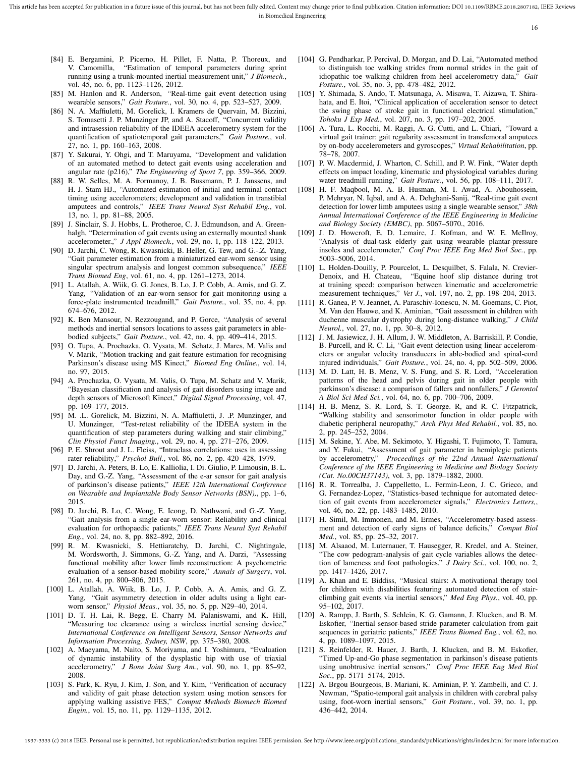- [84] E. Bergamini, P. Picerno, H. Pillet, F. Natta, P. Thoreux, and V. Camomilla, "Estimation of temporal parameters during sprint running using a trunk-mounted inertial measurement unit," *J Biomech.*, vol. 45, no. 6, pp. 1123–1126, 2012.
- [85] M. Hanlon and R. Anderson, "Real-time gait event detection using wearable sensors," *Gait Posture.*, vol. 30, no. 4, pp. 523–527, 2009.
- [86] N. A. Maffiuletti, M. Gorelick, I. Kramers de Quervain, M. Bizzini, S. Tomasetti J. P. Munzinger JP, and A. Stacoff, "Concurrent validity and intrasession reliability of the IDEEA accelerometry system for the quantification of spatiotemporal gait parameters," *Gait Posture.*, vol. 27, no. 1, pp. 160–163, 2008.
- [87] Y. Sakurai, Y. Ohgi, and T. Maruyama, "Development and validation of an automated method to detect gait events using acceleration and angular rate (p216)," *The Engineering of Sport 7*, pp. 359–366, 2009.
- [88] R. W. Selles, M. A. Formanoy, J. B. Bussmann, P. J. Janssens, and H. J. Stam HJ., "Automated estimation of initial and terminal contact timing using accelerometers; development and validation in transtibial amputees and controls," *IEEE Trans Neural Syst Rehabil Eng.*, vol. 13, no. 1, pp. 81–88, 2005.
- [89] J. Sinclair, S. J. Hobbs, L. Protheroe, C. J. Edmundson, and A. Greenhalgh, "Determination of gait events using an externally mounted shank accelerometer.," *J Appl Biomech.*, vol. 29, no. 1, pp. 118–122, 2013.
- [90] D. Jarchi, C. Wong, R. Kwasnicki, B. Heller, G. Tew, and G.-.Z. Yang, "Gait parameter estimation from a miniaturized ear-worn sensor using singular spectrum analysis and longest common subsequence," *IEEE Trans Biomed Eng*, vol. 61, no. 4, pp. 1261–1273, 2014.
- [91] L. Atallah, A. Wiik, G. G. Jones, B. Lo, J. P. Cobb, A. Amis, and G. Z. Yang, "Validation of an ear-worn sensor for gait monitoring using a force-plate instrumented treadmill," *Gait Posture.*, vol. 35, no. 4, pp. 674–676, 2012.
- [92] K. Ben Mansour, N. Rezzougand, and P. Gorce, "Analysis of several methods and inertial sensors locations to assess gait parameters in ablebodied subjects," *Gait Posture.*, vol. 42, no. 4, pp. 409–414, 2015.
- [93] O. Tupa, A. Prochazka, O. Vysata, M. Schatz, J. Mares, M. Valis and V. Marik, "Motion tracking and gait feature estimation for recognising Parkinson's disease using MS Kinect," *Biomed Eng Online.*, vol. 14, no. 97, 2015.
- [94] A. Prochazka, O. Vysata, M. Valis, O. Tupa, M. Schatz and V. Marik, "Bayesian classification and analysis of gait disorders using image and depth sensors of Microsoft Kinect," *Digital Signal Processing*, vol. 47, pp. 169–177, 2015.
- [95] M. .L. Gorelick, M. Bizzini, N. A. Maffiuletti, J. .P. Munzinger, and U. Munzinger, "Test-retest reliability of the IDEEA system in the quantification of step parameters during walking and stair climbing," *Clin Physiol Funct Imaging.*, vol. 29, no. 4, pp. 271–276, 2009.
- [96] P. E. Shrout and J. L. Fleiss, "Intraclass correlations: uses in assessing rater reliability," *Psychol Bull.*, vol. 86, no. 2, pp. 420–428, 1979.
- [97] D. Jarchi, A. Peters, B. Lo, E. Kalliolia, I. Di. Giulio, P. Limousin, B. L. Day, and G.-Z. Yang, "Assessment of the e-ar sensor for gait analysis of parkinson's disease patients," *IEEE 12th International Conference on Wearable and Implantable Body Sensor Networks (BSN),*, pp. 1–6, 2015.
- [98] D. Jarchi, B. Lo, C. Wong, E. Ieong, D. Nathwani, and G.-Z. Yang, "Gait analysis from a single ear-worn sensor: Reliability and clinical evaluation for orthopaedic patients," *IEEE Trans Neural Syst Rehabil Eng.*, vol. 24, no. 8, pp. 882–892, 2016.
- [99] R. M. Kwasnicki, S. Hettiaratchy, D. Jarchi, C. Nightingale, M. Wordsworth, J. Simmons, G.-Z. Yang, and A. Darzi, "Assessing functional mobility after lower limb reconstruction: A psychometric evaluation of a sensor-based mobility score," *Annals of Surgery*, vol. 261, no. 4, pp. 800–806, 2015.
- [100] L. Atallah, A. Wiik, B. Lo, J. P. Cobb, A. A. Amis, and G. Z. Yang, "Gait asymmetry detection in older adults using a light earworn sensor," *Physiol Meas.*, vol. 35, no. 5, pp. N29–40, 2014.
- [101] D. T. H. Lai, R. Begg, E. Charry M. Palaniswami, and K. Hill, "Measuring toe clearance using a wireless inertial sensing device," *International Conference on Intelligent Sensors, Sensor Networks and Information Processing, Sydney, NSW*, pp. 375–380, 2008.
- [102] A. Maeyama, M. Naito, S. Moriyama, and I. Yoshimura, "Evaluation of dynamic instability of the dysplastic hip with use of triaxial accelerometry," *J Bone Joint Surg Am.*, vol. 90, no. 1, pp. 85–92, 2008.
- [103] S. Park, K. Ryu, J. Kim, J. Son, and Y. Kim, "Verification of accuracy and validity of gait phase detection system using motion sensors for applying walking assistive FES," *Comput Methods Biomech Biomed Engin.*, vol. 15, no. 11, pp. 1129–1135, 2012.
- [104] G. Pendharkar, P. Percival, D. Morgan, and D. Lai, "Automated method to distinguish toe walking strides from normal strides in the gait of idiopathic toe walking children from heel accelerometry data," *Gait Posture.*, vol. 35, no. 3, pp. 478–482, 2012.
- [105] Y. Shimada, S. Ando, T. Matsunaga, A. Misawa, T. Aizawa, T. Shirahata, and E. Itoi, "Clinical application of acceleration sensor to detect the swing phase of stroke gait in functional electrical stimulation," *Tohoku J Exp Med.*, vol. 207, no. 3, pp. 197–202, 2005.
- [106] A. Tura, L. Rocchi, M. Raggi, A. G. Cutti, and L. Chiari, "Toward a virtual gait trainer: gait regularity assessment in transfemoral amputees by on-body accelerometers and gyroscopes," *Virtual Rehabilitation*, pp. 78–78, 2007.
- [107] P. W. Macdermid, J. Wharton, C. Schill, and P. W. Fink, "Water depth effects on impact loading, kinematic and physiological variables during water treadmill running," *Gait Posture.*, vol. 56, pp. 108–111, 2017.
- [108] H. F. Maqbool, M. A. B. Husman, M. I. Awad, A. Abouhossein, P. Mehryar, N. Iqbal, and A. A. Dehghani-Sanij, "Real-time gait event detection for lower limb amputees using a single wearable sensor," *38th Annual International Conference of the IEEE Engineering in Medicine and Biology Society (EMBC)*, pp. 5067–5070., 2016.
- [109] J. D. Howcroft, E. D. Lemaire, J. Kofman, and W. E. McIlroy, "Analysis of dual-task elderly gait using wearable plantar-pressure insoles and accelerometer," *Conf Proc IEEE Eng Med Biol Soc.*, pp. 5003–5006, 2014.
- [110] L. Holden-Douilly, P. Pourcelot, L. Desquilbet, S. Falala, N. Crevier-Denoix, and H. Chateau, "Equine hoof slip distance during trot at training speed: comparison between kinematic and accelerometric measurement techniques," *Vet J.*, vol. 197, no. 2, pp. 198–204, 2013.
- [111] R. Ganea, P. V. Jeannet, A. Paraschiv-Ionescu, N. M. Goemans, C. Piot, M. Van den Hauwe, and K. Aminian, "Gait assessment in children with duchenne muscular dystrophy during long-distance walking," *J Child Neurol.*, vol. 27, no. 1, pp. 30–8, 2012.
- [112] J. M. Jasiewicz, J. H. Allum, J. W. Middleton, A. Barriskill, P. Condie, B. Purcell, and R. C. Li, "Gait event detection using linear accelerometers or angular velocity transducers in able-bodied and spinal-cord injured individuals," *Gait Posture.*, vol. 24, no. 4, pp. 502–509, 2006.
- [113] M. D. Latt, H. B. Menz, V. S. Fung, and S. R. Lord, "Acceleration patterns of the head and pelvis during gait in older people with parkinson's disease: a comparison of fallers and nonfallers," *J Gerontol A Biol Sci Med Sci.*, vol. 64, no. 6, pp. 700–706, 2009.
- [114] H. B. Menz, S. R. Lord, S. T. George. R, and R. C. Fitzpatrick, "Walking stability and sensorimotor function in older people with diabetic peripheral neuropathy," *Arch Phys Med Rehabil.*, vol. 85, no. 2, pp. 245–252, 2004.
- [115] M. Sekine, Y. Abe, M. Sekimoto, Y. Higashi, T. Fujimoto, T. Tamura, and Y. Fukui, "Assessment of gait parameter in hemiplegic patients by accelerometry," *Proceedings of the 22nd Annual International Conference of the IEEE Engineering in Medicine and Biology Society (Cat. No.00CH37143)*, vol. 3, pp. 1879–1882, 2000.
- [116] R. R. Torrealba, J. Cappelletto, L. Fermin-Leon, J. C. Grieco, and G. Fernandez-Lopez, "Statistics-based technique for automated detection of gait events from accelerometer signals," *Electronics Letters,*, vol. 46, no. 22, pp. 1483–1485, 2010.
- [117] H. Simil, M. Immonen, and M. Ermes, "Accelerometry-based assessment and detection of early signs of balance deficits," *Comput Biol Med.*, vol. 85, pp. 25–32, 2017.
- [118] M. Alsaaod, M. Luternauer, T. Hausegger, R. Kredel, and A. Steiner, "The cow pedogram-analysis of gait cycle variables allows the detection of lameness and foot pathologies," *J Dairy Sci.*, vol. 100, no. 2, pp. 1417–1426, 2017.
- [119] A. Khan and E. Biddiss, "Musical stairs: A motivational therapy tool for children with disabilities featuring automated detection of stairclimbing gait events via inertial sensors," *Med Eng Phys.*, vol. 40, pp. 95–102, 2017.
- [120] A. Rampp, J. Barth, S. Schlein, K. G. Gamann, J. Klucken, and B. M. Eskofier, "Inertial sensor-based stride parameter calculation from gait sequences in geriatric patients," *IEEE Trans Biomed Eng.*, vol. 62, no. 4, pp. 1089–1097, 2015.
- [121] S. Reinfelder, R. Hauer, J. Barth, J. Klucken, and B. M. Eskofier, "Timed Up-and-Go phase segmentation in parkinson's disease patients using unobtrusive inertial sensors," *Conf Proc IEEE Eng Med Biol Soc.*, pp. 5171–5174, 2015.
- [122] A. Brgou Bourgeois, B. Mariani, K. Aminian, P. Y. Zambelli, and C. J. Newman, "Spatio-temporal gait analysis in children with cerebral palsy using, foot-worn inertial sensors," *Gait Posture.*, vol. 39, no. 1, pp. 436–442, 2014.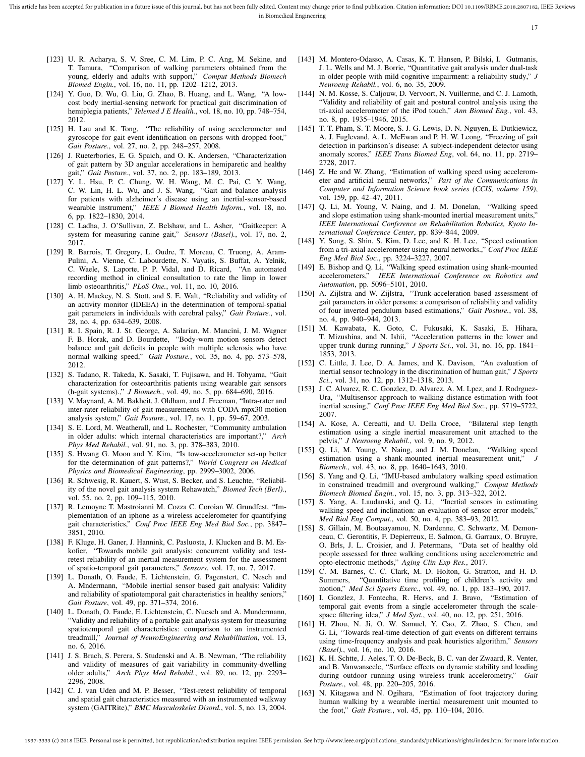- [123] U. R. Acharya, S. V. Sree, C. M. Lim, P. C. Ang, M. Sekine, and T. Tamura, "Comparison of walking parameters obtained from the young, elderly and adults with support," *Comput Methods Biomech Biomed Engin.*, vol. 16, no. 11, pp. 1202–1212, 2013.
- [124] Y. Guo, D. Wu, G. Liu, G. Zhao, B. Huang, and L. Wang, "A lowcost body inertial-sensing network for practical gait discrimination of hemiplegia patients," *Telemed J E Health.*, vol. 18, no. 10, pp. 748–754, 2012.
- [125] H. Lau and K. Tong, "The reliability of using accelerometer and gyroscope for gait event identification on persons with dropped foot," *Gait Posture.*, vol. 27, no. 2, pp. 248–257, 2008.
- [126] J. Rueterbories, E. G. Spaich, and O. K. Andersen, "Characterization of gait pattern by 3D angular accelerations in hemiparetic and healthy gait," *Gait Posture.*, vol. 37, no. 2, pp. 183–189, 2013.
- [127] Y. L. Hsu, P. C. Chung, W. H. Wang, M. C. Pai, C. Y. Wang, C. W. Lin, H. L. Wu, and J. S. Wang, "Gait and balance analysis for patients with alzheimer's disease using an inertial-sensor-based wearable instrument," *IEEE J Biomed Health Inform.*, vol. 18, no. 6, pp. 1822–1830, 2014.
- [128] C. Ladha, J. O'Sullivan, Z. Belshaw, and L. Asher, "Gaitkeeper: A system for measuring canine gait," *Sensors (Basel).*, vol. 17, no. 2, 2017.
- [129] R. Barrois, T. Gregory, L. Oudre, T. Moreau, C. Truong, A. Aram-Pulini, A. Vienne, C. Labourdette, N. Vayatis, S. Buffat, A. Yelnik, C. Waele, S. Laporte, P. P. Vidal, and D. Ricard, "An automated recording method in clinical consultation to rate the limp in lower limb osteoarthritis," *PLoS One.*, vol. 11, no. 10, 2016.
- [130] A. H. Mackey, N. S. Stott, and S. E. Walt, "Reliability and validity of an activity monitor (IDEEA) in the determination of temporal-spatial gait parameters in individuals with cerebral palsy," *Gait Posture.*, vol. 28, no. 4, pp. 634–639, 2008.
- [131] R. I. Spain, R. J. St. George, A. Salarian, M. Mancini, J. M. Wagner F. B. Horak, and D. Bourdette, "Body-worn motion sensors detect balance and gait deficits in people with multiple sclerosis who have normal walking speed," *Gait Posture.*, vol. 35, no. 4, pp. 573–578, 2012.
- [132] S. Tadano, R. Takeda, K. Sasaki, T. Fujisawa, and H. Tohyama, "Gait characterization for osteoarthritis patients using wearable gait sensors (h-gait systems).," *J Biomech.*, vol. 49, no. 5, pp. 684–690, 2016.
- [133] V. Maynard, A. M. Bakheit, J. Oldham, and J. Freeman, "Intra-rater and inter-rater reliability of gait measurements with CODA mpx30 motion analysis system," *Gait Posture.*, vol. 17, no. 1, pp. 59–67, 2003.
- [134] S. E. Lord, M. Weatherall, and L. Rochester, "Community ambulation in older adults: which internal characteristics are important?," *Arch Phys Med Rehabil.*, vol. 91, no. 3, pp. 378–383, 2010.
- [135] S. Hwang G. Moon and Y. Kim, "Is tow-accelerometer set-up better for the determination of gait patterns?," *World Congress on Medical Physics and Biomedical Engineering*, pp. 2999–3002, 2006.
- [136] R. Schwesig, R. Kauert, S. Wust, S. Becker, and S. Leuchte, "Reliability of the novel gait analysis system Rehawatch," *Biomed Tech (Berl).*, vol. 55, no. 2, pp. 109–115, 2010.
- [137] R. Lemoyne T. Mastroianni M. Cozza C. Coroian W. Grundfest, "Implementation of an iphone as a wireless accelerometer for quantifying gait characteristics," *Conf Proc IEEE Eng Med Biol Soc.*, pp. 3847– 3851, 2010.
- [138] F. Kluge, H. Ganer, J. Hannink, C. Pasluosta, J. Klucken and B. M. Eskofier, "Towards mobile gait analysis: concurrent validity and testretest reliability of an inertial measurement system for the assessment of spatio-temporal gait parameters," *Sensors*, vol. 17, no. 7, 2017.
- [139] L. Donath, O. Faude, E. Lichtenstein, G. Pagenstert, C. Nesch and A. Mndermann, "Mobile inertial sensor based gait analysis: Validity and reliability of spatiotemporal gait characteristics in healthy seniors, *Gait Posture*, vol. 49, pp. 371–374, 2016.
- [140] L. Donath, O. Faude, E. Lichtenstein, C. Nuesch and A. Mundermann, "Validity and reliability of a portable gait analysis system for measuring spatiotemporal gait characteristics: comparison to an instrumented treadmill," *Journal of NeuroEngineering and Rehabilitation*, vol. 13, no. 6, 2016.
- [141] J. S. Brach, S. Perera, S. Studenski and A. B. Newman, "The reliability and validity of measures of gait variability in community-dwelling older adults," *Arch Phys Med Rehabil.*, vol. 89, no. 12, pp. 2293– 2296, 2008.
- [142] C. J. van Uden and M. P. Besser, "Test-retest reliability of temporal and spatial gait characteristics measured with an instrumented walkway system (GAITRite)," *BMC Musculoskelet Disord.*, vol. 5, no. 13, 2004.
- [143] M. Montero-Odasso, A. Casas, K. T. Hansen, P. Bilski, I. Gutmanis, J. L. Wells and M. J. Borrie, "Quantitative gait analysis under dual-task in older people with mild cognitive impairment: a reliability study," *J Neuroeng Rehabil.*, vol. 6, no. 35, 2009.
- [144] N. M. Kosse, S. Caljouw, D. Vervoort, N. Vuillerme, and C. J. Lamoth, "Validity and reliability of gait and postural control analysis using the tri-axial accelerometer of the iPod touch," *Ann Biomed Eng.*, vol. 43, no. 8, pp. 1935–1946, 2015.
- [145] T. T. Pham, S. T. Moore, S. J. G. Lewis, D. N. Nguyen, E. Dutkiewicz, A. J. Fuglevand, A. L. McEwan and P. H. W. Leong, "Freezing of gait detection in parkinson's disease: A subject-independent detector using anomaly scores," *IEEE Trans Biomed Eng*, vol. 64, no. 11, pp. 2719– 2728, 2017.
- [146] Z. He and W. Zhang, "Estimation of walking speed using accelerometer and artificial neural networks," *Part of the Communications in Computer and Information Science book series (CCIS, volume 159)*, vol. 159, pp. 42–47, 2011.
- [147] Q. Li, M. Young, V. Naing, and J. M. Donelan, "Walking speed and slope estimation using shank-mounted inertial measurement units," *IEEE International Conference on Rehabilitation Robotics, Kyoto International Conference Center*, pp. 839–844, 2009.
- [148] Y. Song, S. Shin, S. Kim, D. Lee, and K. H. Lee, "Speed estimation from a tri-axial accelerometer using neural networks.," *Conf Proc IEEE Eng Med Biol Soc.*, pp. 3224–3227, 2007.
- [149] E. Bishop and Q. Li, "Walking speed estimation using shank-mounted accelerometers," *IEEE International Conference on Robotics and Automation*, pp. 5096–5101, 2010.
- [150] A. Zijlstra and W. Zijlstra, "Trunk-acceleration based assessment of gait parameters in older persons: a comparison of reliability and validity of four inverted pendulum based estimations," *Gait Posture.*, vol. 38, no. 4, pp. 940–944, 2013.
- [151] M. Kawabata, K. Goto, C. Fukusaki, K. Sasaki, E. Hihara, T. Mizushina, and N. Ishii, "Acceleration patterns in the lower and upper trunk during running," *J Sports Sci.*, vol. 31, no. 16, pp. 1841– 1853, 2013.
- [152] C. Little, J. Lee, D. A. James, and K. Davison, "An evaluation of inertial sensor technology in the discrimination of human gait," *J Sports Sci.*, vol. 31, no. 12, pp. 1312–1318, 2013.
- [153] J. C. Alvarez, R. C. Gonzlez, D. Alvarez, A. M. Lpez, and J. Rodrguez-Ura, "Multisensor approach to walking distance estimation with foot inertial sensing," *Conf Proc IEEE Eng Med Biol Soc.*, pp. 5719–5722, 2007.
- [154] A. Kose, A. Cereatti, and U. Della Croce, "Bilateral step length estimation using a single inertial measurement unit attached to the pelvis," *J Neuroeng Rehabil.*, vol. 9, no. 9, 2012.
- [155] Q. Li, M. Young, V. Naing, and J. M. Donelan, "Walking speed estimation using a shank-mounted inertial measurement unit," *Biomech.*, vol. 43, no. 8, pp. 1640–1643, 2010.
- [156] S. Yang and Q. Li, "IMU-based ambulatory walking speed estimation in constrained treadmill and overground walking," *Comput Methods Biomech Biomed Engin.*, vol. 15, no. 3, pp. 313–322, 2012.
- [157] S. Yang, A. Laudanski, and Q. Li, "Inertial sensors in estimating walking speed and inclination: an evaluation of sensor error models," *Med Biol Eng Comput.*, vol. 50, no. 4, pp. 383–93, 2012.
- [158] S. Gillain, M. Boutaayamou, N. Dardenne, C. Schwartz, M. Demonceau, C. Gerontitis, F. Depierreux, E. Salmon, G. Garraux, O. Bruyre, O. Brls, J. L. Croisier, and J. Petermans, "Data set of healthy old people assessed for three walking conditions using accelerometric and opto-electronic methods," *Aging Clin Exp Res.*, 2017.
- [159] C. M. Barnes, C. C. Clark, M. D. Holton, G. Stratton, and H. D. Summers, "Quantitative time profiling of children's activity and motion," *Med Sci Sports Exerc.*, vol. 49, no. 1, pp. 183–190, 2017.
- [160] I. Gonzlez, J. Fontecha, R. Hervs, and J. Bravo, "Estimation of temporal gait events from a single accelerometer through the scalespace filtering idea," *J Med Syst.*, vol. 40, no. 12, pp. 251, 2016.
- [161] H. Zhou, N. Ji, O. W. Samuel, Y. Cao, Z. Zhao, S. Chen, and G. Li, "Towards real-time detection of gait events on different terrains using time-frequency analysis and peak heuristics algorithm," *Sensors (Basel).*, vol. 16, no. 10, 2016.
- [162] K. H. Schtte, J. Aeles, T. O. De-Beck, B. C. van der Zwaard, R. Venter, and B. Vanwanseele, "Surface effects on dynamic stability and loading during outdoor running using wireless trunk accelerometry," *Gait* Posture., vol. 48, pp. 220-205, 2016.
- [163] N. Kitagawa and N. Ogihara, "Estimation of foot trajectory during human walking by a wearable inertial measurement unit mounted to the foot," *Gait Posture.*, vol. 45, pp. 110–104, 2016.